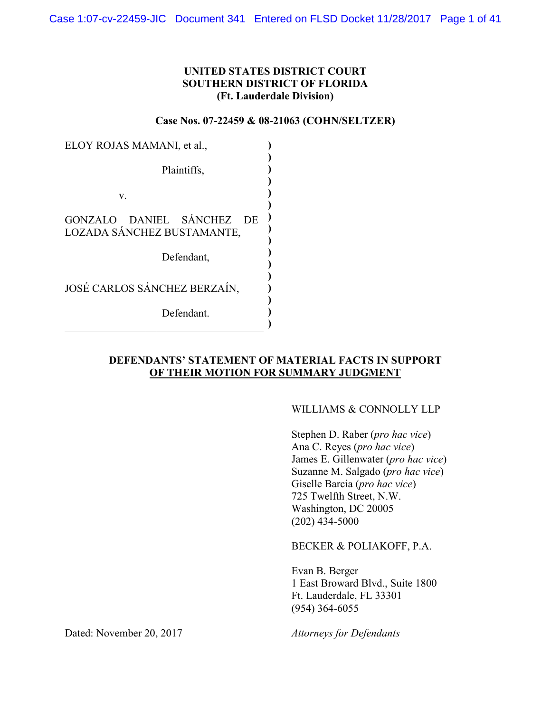## **UNITED STATES DISTRICT COURT SOUTHERN DISTRICT OF FLORIDA (Ft. Lauderdale Division)**

#### **Case Nos. 07-22459 & 08-21063 (COHN/SELTZER)**

| ELOY ROJAS MAMANI, et al.,                                        |  |
|-------------------------------------------------------------------|--|
| Plaintiffs,                                                       |  |
| V.                                                                |  |
| GONZALO DANIEL SÁNCHEZ<br><b>DE</b><br>LOZADA SÁNCHEZ BUSTAMANTE, |  |
| Defendant,                                                        |  |
| JOSÉ CARLOS SÁNCHEZ BERZAÍN.                                      |  |
| Defendant.                                                        |  |

## **DEFENDANTS' STATEMENT OF MATERIAL FACTS IN SUPPORT OF THEIR MOTION FOR SUMMARY JUDGMENT**

#### WILLIAMS & CONNOLLY LLP

Stephen D. Raber (*pro hac vice*) Ana C. Reyes (*pro hac vice*) James E. Gillenwater (*pro hac vice*) Suzanne M. Salgado (*pro hac vice*) Giselle Barcia (*pro hac vice*) 725 Twelfth Street, N.W. Washington, DC 20005  $(202)$  434-5000

BECKER & POLIAKOFF, P.A.

Evan B. Berger 1 East Broward Blvd., Suite 1800 Ft. Lauderdale, FL 33301 (954) 364-6055

Dated: November 20, 2017 *Attorneys for Defendants*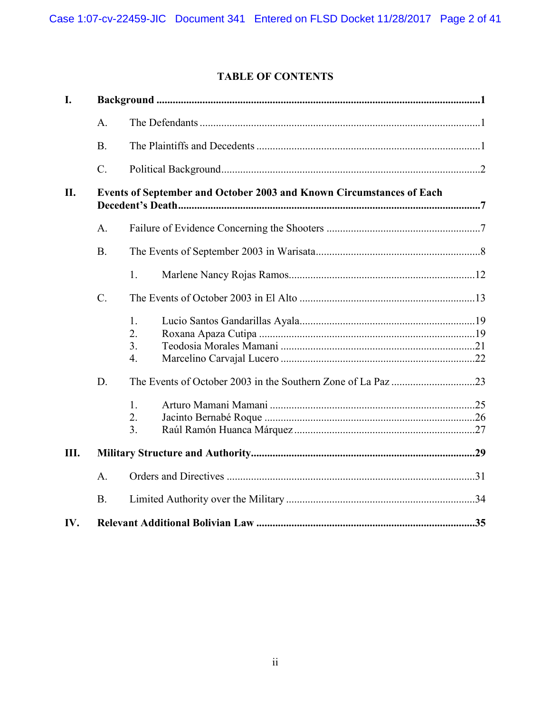# **TABLE OF CONTENTS**

| I.  |                 |                                                                      |  |
|-----|-----------------|----------------------------------------------------------------------|--|
|     | $\mathbf{A}$ .  |                                                                      |  |
|     | B.              |                                                                      |  |
|     | $\mathcal{C}$ . |                                                                      |  |
| II. |                 | Events of September and October 2003 and Known Circumstances of Each |  |
|     | A.              |                                                                      |  |
|     | B.              |                                                                      |  |
|     |                 | 1.                                                                   |  |
|     | $C$ .           |                                                                      |  |
|     |                 | 1.<br>2.<br>3.<br>$\overline{4}$ .                                   |  |
|     | D.              |                                                                      |  |
|     |                 | $\mathbf{1}$ .<br>2.<br>3.                                           |  |
| Ш.  |                 |                                                                      |  |
|     | A.              |                                                                      |  |
|     | <b>B.</b>       |                                                                      |  |
| IV. |                 |                                                                      |  |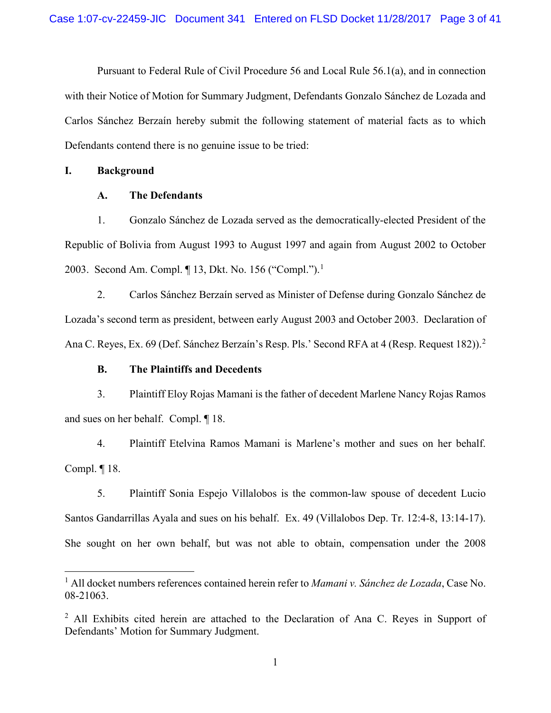Pursuant to Federal Rule of Civil Procedure 56 and Local Rule 56.1(a), and in connection with their Notice of Motion for Summary Judgment, Defendants Gonzalo Sánchez de Lozada and Carlos Sánchez Berzaín hereby submit the following statement of material facts as to which Defendants contend there is no genuine issue to be tried:

#### **I. Background**

#### **A. The Defendants**

1. Gonzalo Sánchez de Lozada served as the democratically-elected President of the Republic of Bolivia from August 1993 to August 1997 and again from August 2002 to October 2003. Second Am. Compl. ¶ 13, Dkt. No. 156 ("Compl.").<sup>1</sup>

2. Carlos Sánchez Berzaín served as Minister of Defense during Gonzalo Sánchez de Lozada's second term as president, between early August 2003 and October 2003. Declaration of Ana C. Reyes, Ex. 69 (Def. Sánchez Berzaín's Resp. Pls.' Second RFA at 4 (Resp. Request 182)).<sup>2</sup>

#### **B. The Plaintiffs and Decedents**

3. Plaintiff Eloy Rojas Mamani is the father of decedent Marlene Nancy Rojas Ramos and sues on her behalf. Compl. ¶ 18.

4. Plaintiff Etelvina Ramos Mamani is Marlene's mother and sues on her behalf. Compl. ¶ 18.

5. Plaintiff Sonia Espejo Villalobos is the common-law spouse of decedent Lucio Santos Gandarrillas Ayala and sues on his behalf. Ex. 49 (Villalobos Dep. Tr. 12:4-8, 13:14-17). She sought on her own behalf, but was not able to obtain, compensation under the 2008

 <sup>1</sup> All docket numbers references contained herein refer to *Mamani v. Sánchez de Lozada*, Case No. 08-21063.

<sup>&</sup>lt;sup>2</sup> All Exhibits cited herein are attached to the Declaration of Ana C. Reyes in Support of Defendants' Motion for Summary Judgment.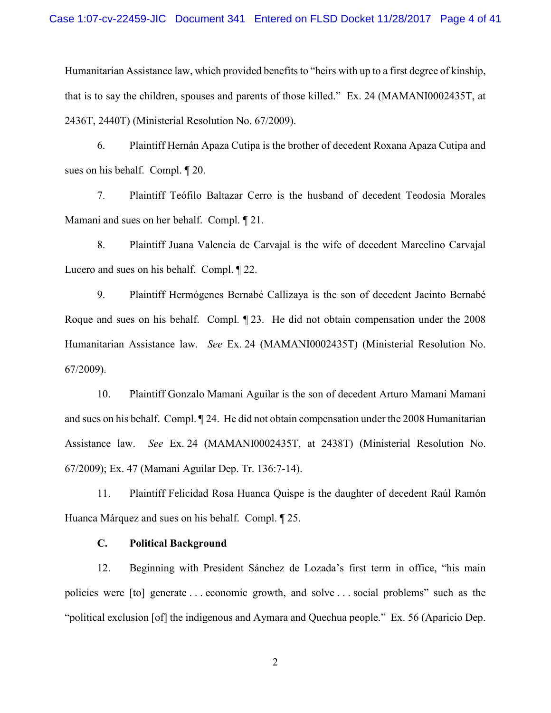Humanitarian Assistance law, which provided benefits to "heirs with up to a first degree of kinship, that is to say the children, spouses and parents of those killed."Ex. 24 (MAMANI0002435T, at 2436T, 2440T) (Ministerial Resolution No. 67/2009).

6. Plaintiff Hernán Apaza Cutipa is the brother of decedent Roxana Apaza Cutipa and sues on his behalf. Compl. ¶ 20.

7. Plaintiff Teófilo Baltazar Cerro is the husband of decedent Teodosia Morales Mamani and sues on her behalf. Compl. ¶ 21.

8. Plaintiff Juana Valencia de Carvajal is the wife of decedent Marcelino Carvajal Lucero and sues on his behalf. Compl. ¶ 22.

9. Plaintiff Hermógenes Bernabé Callizaya is the son of decedent Jacinto Bernabé Roque and sues on his behalf. Compl. ¶ 23. He did not obtain compensation under the 2008 Humanitarian Assistance law. *See* Ex. 24 (MAMANI0002435T) (Ministerial Resolution No. 67/2009).

10. Plaintiff Gonzalo Mamani Aguilar is the son of decedent Arturo Mamani Mamani and sues on his behalf. Compl. ¶ 24. He did not obtain compensation under the 2008 Humanitarian Assistance law. *See* Ex. 24 (MAMANI0002435T, at 2438T) (Ministerial Resolution No. 67/2009); Ex. 47 (Mamani Aguilar Dep. Tr. 136:7-14).

11. Plaintiff Felicidad Rosa Huanca Quispe is the daughter of decedent Raúl Ramón Huanca Márquez and sues on his behalf. Compl. ¶ 25.

#### **C. Political Background**

12. Beginning with President Sánchez de Lozada's first term in office, "his main policies were [to] generate . . . economic growth, and solve . . . social problems" such as the "political exclusion [of] the indigenous and Aymara and Quechua people." Ex. 56 (Aparicio Dep.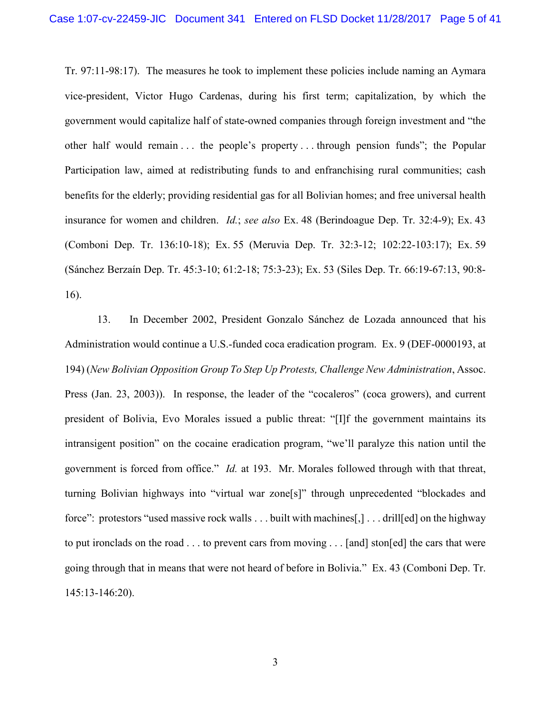Tr. 97:11-98:17). The measures he took to implement these policies include naming an Aymara vice-president, Victor Hugo Cardenas, during his first term; capitalization, by which the government would capitalize half of state-owned companies through foreign investment and "the other half would remain . . . the people's property . . . through pension funds"; the Popular Participation law, aimed at redistributing funds to and enfranchising rural communities; cash benefits for the elderly; providing residential gas for all Bolivian homes; and free universal health insurance for women and children. *Id.*; *see also* Ex. 48 (Berindoague Dep. Tr. 32:4-9); Ex. 43 (Comboni Dep. Tr. 136:10-18); Ex. 55 (Meruvia Dep. Tr. 32:3-12; 102:22-103:17); Ex. 59 (Sánchez Berzaín Dep. Tr. 45:3-10; 61:2-18; 75:3-23); Ex. 53 (Siles Dep. Tr. 66:19-67:13, 90:8- 16).

13. In December 2002, President Gonzalo Sánchez de Lozada announced that his Administration would continue a U.S.-funded coca eradication program. Ex. 9 (DEF-0000193, at 194) (*New Bolivian Opposition Group To Step Up Protests, Challenge New Administration*, Assoc. Press (Jan. 23, 2003)). In response, the leader of the "cocaleros" (coca growers), and current president of Bolivia, Evo Morales issued a public threat: "[I]f the government maintains its intransigent position" on the cocaine eradication program, "we'll paralyze this nation until the government is forced from office." *Id.* at 193. Mr. Morales followed through with that threat, turning Bolivian highways into "virtual war zone[s]" through unprecedented "blockades and force": protestors "used massive rock walls . . . built with machines[,] . . . drill[ed] on the highway to put ironclads on the road . . . to prevent cars from moving . . . [and] ston[ed] the cars that were going through that in means that were not heard of before in Bolivia." Ex. 43 (Comboni Dep. Tr. 145:13-146:20).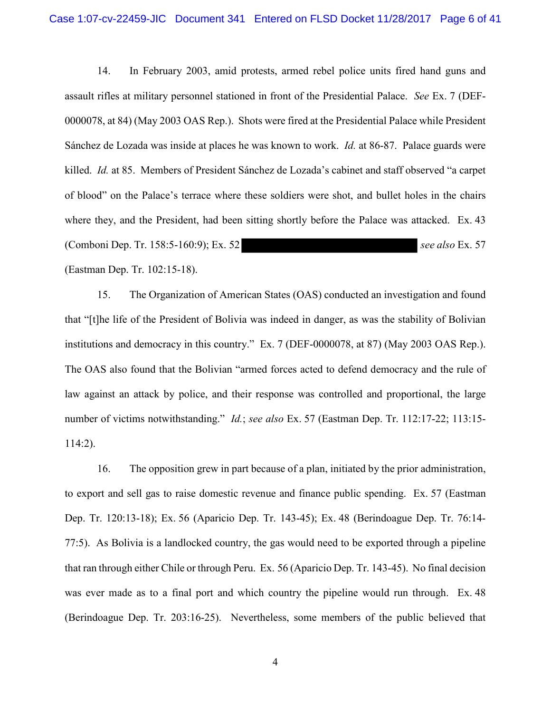14. In February 2003, amid protests, armed rebel police units fired hand guns and assault rifles at military personnel stationed in front of the Presidential Palace. *See* Ex. 7 (DEF-0000078, at 84) (May 2003 OAS Rep.). Shots were fired at the Presidential Palace while President Sánchez de Lozada was inside at places he was known to work. *Id.* at 86-87. Palace guards were killed. *Id.* at 85. Members of President Sánchez de Lozada's cabinet and staff observed "a carpet of blood" on the Palace's terrace where these soldiers were shot, and bullet holes in the chairs where they, and the President, had been sitting shortly before the Palace was attacked. Ex. 43 (Comboni Dep. Tr. 158:5-160:9); Ex. 52 *see also* Ex. 57 (Eastman Dep. Tr. 102:15-18).

15. The Organization of American States (OAS) conducted an investigation and found that "[t]he life of the President of Bolivia was indeed in danger, as was the stability of Bolivian institutions and democracy in this country." Ex. 7 (DEF-0000078, at 87) (May 2003 OAS Rep.). The OAS also found that the Bolivian "armed forces acted to defend democracy and the rule of law against an attack by police, and their response was controlled and proportional, the large number of victims notwithstanding." *Id.*; *see also* Ex. 57 (Eastman Dep. Tr. 112:17-22; 113:15- 114:2).

16. The opposition grew in part because of a plan, initiated by the prior administration, to export and sell gas to raise domestic revenue and finance public spending. Ex. 57 (Eastman Dep. Tr. 120:13-18); Ex. 56 (Aparicio Dep. Tr. 143-45); Ex. 48 (Berindoague Dep. Tr. 76:14- 77:5). As Bolivia is a landlocked country, the gas would need to be exported through a pipeline that ran through either Chile or through Peru. Ex. 56 (Aparicio Dep. Tr. 143-45). No final decision was ever made as to a final port and which country the pipeline would run through. Ex. 48 (Berindoague Dep. Tr. 203:16-25).Nevertheless, some members of the public believed that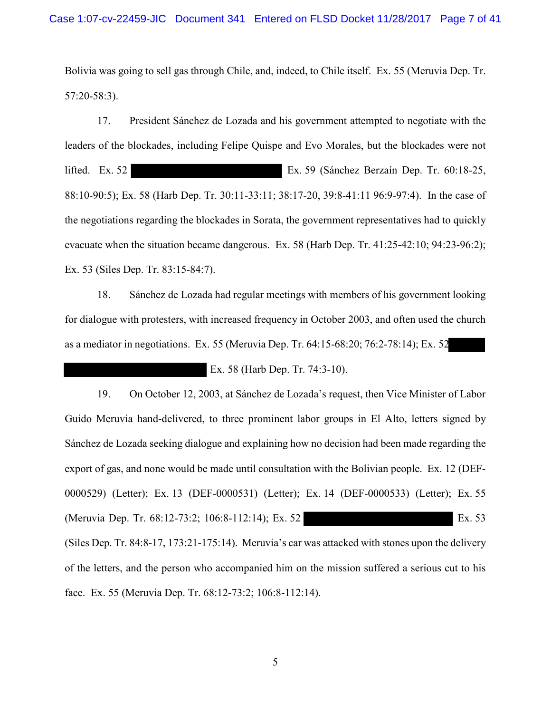Bolivia was going to sell gas through Chile, and, indeed, to Chile itself. Ex. 55 (Meruvia Dep. Tr. 57:20-58:3).

17. President Sánchez de Lozada and his government attempted to negotiate with the leaders of the blockades, including Felipe Quispe and Evo Morales, but the blockades were not lifted. Ex. 52 Ex. 59 (Sánchez Berzaín Dep. Tr. 60:18-25, 88:10-90:5); Ex. 58 (Harb Dep. Tr. 30:11-33:11; 38:17-20, 39:8-41:11 96:9-97:4). In the case of the negotiations regarding the blockades in Sorata, the government representatives had to quickly evacuate when the situation became dangerous. Ex. 58 (Harb Dep. Tr. 41:25-42:10; 94:23-96:2); Ex. 53 (Siles Dep. Tr. 83:15-84:7).

18. Sánchez de Lozada had regular meetings with members of his government looking for dialogue with protesters, with increased frequency in October 2003, and often used the church as a mediator in negotiations. Ex. 55 (Meruvia Dep. Tr. 64:15-68:20; 76:2-78:14); Ex. 52

Ex. 58 (Harb Dep. Tr. 74:3-10).

19. On October 12, 2003, at Sánchez de Lozada's request, then Vice Minister of Labor Guido Meruvia hand-delivered, to three prominent labor groups in El Alto, letters signed by Sánchez de Lozada seeking dialogue and explaining how no decision had been made regarding the export of gas, and none would be made until consultation with the Bolivian people. Ex. 12 (DEF-0000529) (Letter); Ex. 13 (DEF-0000531) (Letter); Ex. 14 (DEF-0000533) (Letter); Ex. 55 (Meruvia Dep. Tr. 68:12-73:2; 106:8-112:14); Ex. 52 (Siles Dep. Tr. 84:8-17, 173:21-175:14). Meruvia's car was attacked with stones upon the delivery of the letters, and the person who accompanied him on the mission suffered a serious cut to his face. Ex. 55 (Meruvia Dep. Tr. 68:12-73:2; 106:8-112:14).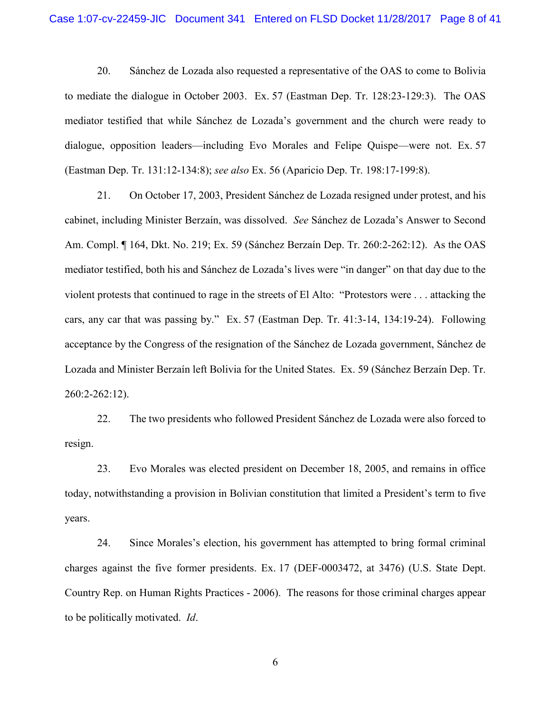20. Sánchez de Lozada also requested a representative of the OAS to come to Bolivia to mediate the dialogue in October 2003. Ex. 57 (Eastman Dep. Tr. 128:23-129:3). The OAS mediator testified that while Sánchez de Lozada's government and the church were ready to dialogue, opposition leaders—including Evo Morales and Felipe Quispe—were not. Ex. 57 (Eastman Dep. Tr. 131:12-134:8); *see also* Ex. 56 (Aparicio Dep. Tr. 198:17-199:8).

21. On October 17, 2003, President Sánchez de Lozada resigned under protest, and his cabinet, including Minister Berzaín, was dissolved. *See* Sánchez de Lozada's Answer to Second Am. Compl. ¶ 164, Dkt. No. 219; Ex. 59 (Sánchez Berzaín Dep. Tr. 260:2-262:12). As the OAS mediator testified, both his and Sánchez de Lozada's lives were "in danger" on that day due to the violent protests that continued to rage in the streets of El Alto: "Protestors were . . . attacking the cars, any car that was passing by." Ex. 57 (Eastman Dep. Tr. 41:3-14, 134:19-24). Following acceptance by the Congress of the resignation of the Sánchez de Lozada government, Sánchez de Lozada and Minister Berzaín left Bolivia for the United States. Ex. 59 (Sánchez Berzaín Dep. Tr. 260:2-262:12).

22. The two presidents who followed President Sánchez de Lozada were also forced to resign.

23. Evo Morales was elected president on December 18, 2005, and remains in office today, notwithstanding a provision in Bolivian constitution that limited a President's term to five years.

24. Since Morales's election, his government has attempted to bring formal criminal charges against the five former presidents. Ex. 17 (DEF-0003472, at 3476) (U.S. State Dept. Country Rep. on Human Rights Practices - 2006). The reasons for those criminal charges appear to be politically motivated. *Id*.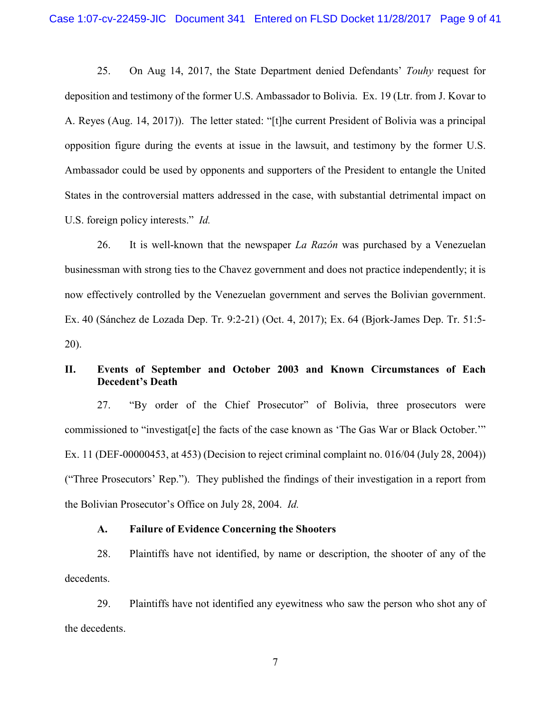25. On Aug 14, 2017, the State Department denied Defendants' *Touhy* request for deposition and testimony of the former U.S. Ambassador to Bolivia. Ex. 19 (Ltr. from J. Kovar to A. Reyes (Aug. 14, 2017)). The letter stated: "[t]he current President of Bolivia was a principal opposition figure during the events at issue in the lawsuit, and testimony by the former U.S. Ambassador could be used by opponents and supporters of the President to entangle the United States in the controversial matters addressed in the case, with substantial detrimental impact on U.S. foreign policy interests." *Id.* 

26. It is well-known that the newspaper *La Razón* was purchased by a Venezuelan businessman with strong ties to the Chavez government and does not practice independently; it is now effectively controlled by the Venezuelan government and serves the Bolivian government. Ex. 40 (Sánchez de Lozada Dep. Tr. 9:2-21) (Oct. 4, 2017); Ex. 64 (Bjork-James Dep. Tr. 51:5- 20).

## **II. Events of September and October 2003 and Known Circumstances of Each Decedent's Death**

27. "By order of the Chief Prosecutor" of Bolivia, three prosecutors were commissioned to "investigat[e] the facts of the case known as 'The Gas War or Black October.'" Ex. 11 (DEF-00000453, at 453) (Decision to reject criminal complaint no. 016/04 (July 28, 2004)) ("Three Prosecutors' Rep."). They published the findings of their investigation in a report from the Bolivian Prosecutor's Office on July 28, 2004. *Id.*

## **A. Failure of Evidence Concerning the Shooters**

28. Plaintiffs have not identified, by name or description, the shooter of any of the decedents.

29. Plaintiffs have not identified any eyewitness who saw the person who shot any of the decedents.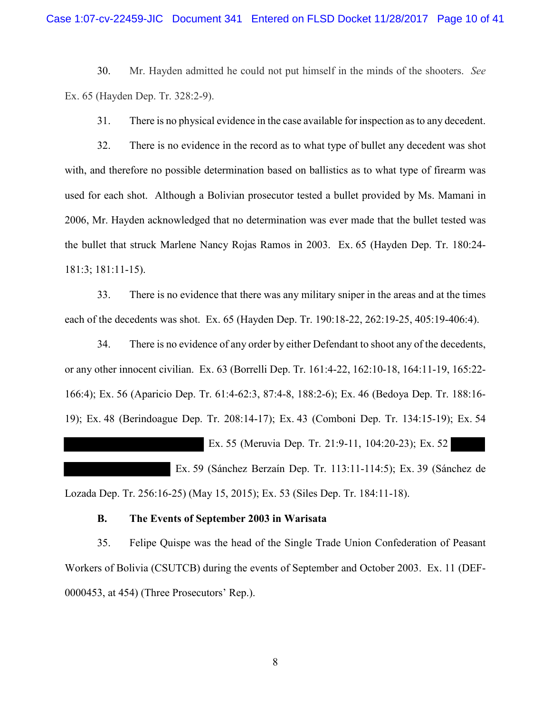30. Mr. Hayden admitted he could not put himself in the minds of the shooters. *See* Ex. 65 (Hayden Dep. Tr. 328:2-9).

31. There is no physical evidence in the case available for inspection as to any decedent.

32. There is no evidence in the record as to what type of bullet any decedent was shot with, and therefore no possible determination based on ballistics as to what type of firearm was used for each shot. Although a Bolivian prosecutor tested a bullet provided by Ms. Mamani in 2006, Mr. Hayden acknowledged that no determination was ever made that the bullet tested was the bullet that struck Marlene Nancy Rojas Ramos in 2003. Ex. 65 (Hayden Dep. Tr. 180:24- 181:3; 181:11-15).

33. There is no evidence that there was any military sniper in the areas and at the times each of the decedents was shot. Ex. 65 (Hayden Dep. Tr. 190:18-22, 262:19-25, 405:19-406:4).

34. There is no evidence of any order by either Defendant to shoot any of the decedents, or any other innocent civilian. Ex. 63 (Borrelli Dep. Tr. 161:4-22, 162:10-18, 164:11-19, 165:22- 166:4); Ex. 56 (Aparicio Dep. Tr. 61:4-62:3, 87:4-8, 188:2-6); Ex. 46 (Bedoya Dep. Tr. 188:16- 19); Ex. 48 (Berindoague Dep. Tr. 208:14-17); Ex. 43 (Comboni Dep. Tr. 134:15-19); Ex. 54

Ex. 55 (Meruvia Dep. Tr. 21:9-11, 104:20-23); Ex. 52

 Ex. 59 (Sánchez Berzaín Dep. Tr. 113:11-114:5); Ex. 39 (Sánchez de Lozada Dep. Tr. 256:16-25) (May 15, 2015); Ex. 53 (Siles Dep. Tr. 184:11-18).

#### **B. The Events of September 2003 in Warisata**

35. Felipe Quispe was the head of the Single Trade Union Confederation of Peasant Workers of Bolivia (CSUTCB) during the events of September and October 2003. Ex. 11 (DEF-0000453, at 454) (Three Prosecutors' Rep.).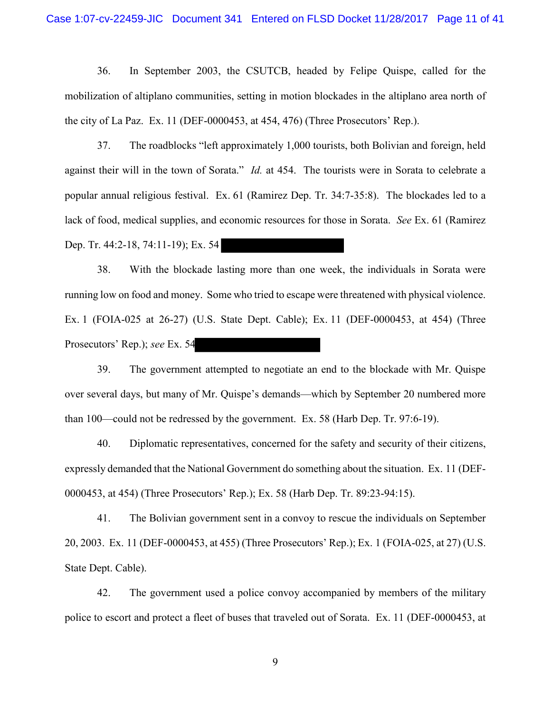36. In September 2003, the CSUTCB, headed by Felipe Quispe, called for the mobilization of altiplano communities, setting in motion blockades in the altiplano area north of the city of La Paz. Ex. 11 (DEF-0000453, at 454, 476) (Three Prosecutors' Rep.).

37. The roadblocks "left approximately 1,000 tourists, both Bolivian and foreign, held against their will in the town of Sorata." *Id.* at 454. The tourists were in Sorata to celebrate a popular annual religious festival. Ex. 61 (Ramirez Dep. Tr. 34:7-35:8). The blockades led to a lack of food, medical supplies, and economic resources for those in Sorata. *See* Ex. 61 (Ramirez Dep. Tr. 44:2-18, 74:11-19); Ex. 54

38. With the blockade lasting more than one week, the individuals in Sorata were running low on food and money. Some who tried to escape were threatened with physical violence. Ex. 1 (FOIA-025 at 26-27) (U.S. State Dept. Cable); Ex. 11 (DEF-0000453, at 454) (Three Prosecutors' Rep.); *see* Ex. 54

39. The government attempted to negotiate an end to the blockade with Mr. Quispe over several days, but many of Mr. Quispe's demands—which by September 20 numbered more than 100—could not be redressed by the government. Ex. 58 (Harb Dep. Tr. 97:6-19).

40. Diplomatic representatives, concerned for the safety and security of their citizens, expressly demanded that the National Government do something about the situation. Ex. 11 (DEF-0000453, at 454) (Three Prosecutors' Rep.); Ex. 58 (Harb Dep. Tr. 89:23-94:15).

41. The Bolivian government sent in a convoy to rescue the individuals on September 20, 2003. Ex. 11 (DEF-0000453, at 455) (Three Prosecutors' Rep.); Ex. 1 (FOIA-025, at 27) (U.S. State Dept. Cable).

42. The government used a police convoy accompanied by members of the military police to escort and protect a fleet of buses that traveled out of Sorata. Ex. 11 (DEF-0000453, at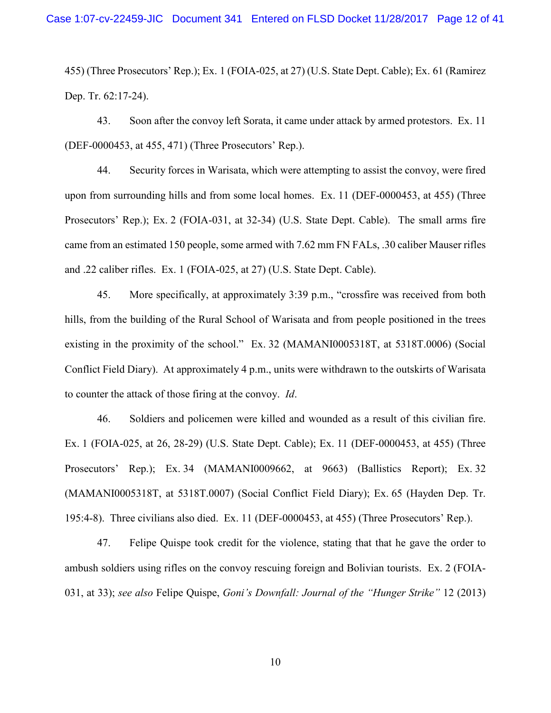455) (Three Prosecutors' Rep.); Ex. 1 (FOIA-025, at 27) (U.S. State Dept. Cable); Ex. 61 (Ramirez Dep. Tr. 62:17-24).

43. Soon after the convoy left Sorata, it came under attack by armed protestors. Ex. 11 (DEF-0000453, at 455, 471) (Three Prosecutors' Rep.).

44. Security forces in Warisata, which were attempting to assist the convoy, were fired upon from surrounding hills and from some local homes. Ex. 11 (DEF-0000453, at 455) (Three Prosecutors' Rep.); Ex. 2 (FOIA-031, at 32-34) (U.S. State Dept. Cable). The small arms fire came from an estimated 150 people, some armed with 7.62 mm FN FALs, .30 caliber Mauser rifles and .22 caliber rifles. Ex. 1 (FOIA-025, at 27) (U.S. State Dept. Cable).

45. More specifically, at approximately 3:39 p.m., "crossfire was received from both hills, from the building of the Rural School of Warisata and from people positioned in the trees existing in the proximity of the school." Ex. 32 (MAMANI0005318T, at 5318T.0006) (Social Conflict Field Diary). At approximately 4 p.m., units were withdrawn to the outskirts of Warisata to counter the attack of those firing at the convoy. *Id*.

46. Soldiers and policemen were killed and wounded as a result of this civilian fire. Ex. 1 (FOIA-025, at 26, 28-29) (U.S. State Dept. Cable); Ex. 11 (DEF-0000453, at 455) (Three Prosecutors' Rep.); Ex. 34 (MAMANI0009662, at 9663) (Ballistics Report); Ex. 32 (MAMANI0005318T, at 5318T.0007) (Social Conflict Field Diary); Ex. 65 (Hayden Dep. Tr. 195:4-8). Three civilians also died. Ex. 11 (DEF-0000453, at 455) (Three Prosecutors' Rep.).

47. Felipe Quispe took credit for the violence, stating that that he gave the order to ambush soldiers using rifles on the convoy rescuing foreign and Bolivian tourists. Ex. 2 (FOIA-031, at 33); *see also* Felipe Quispe, *Goni's Downfall: Journal of the "Hunger Strike"* 12 (2013)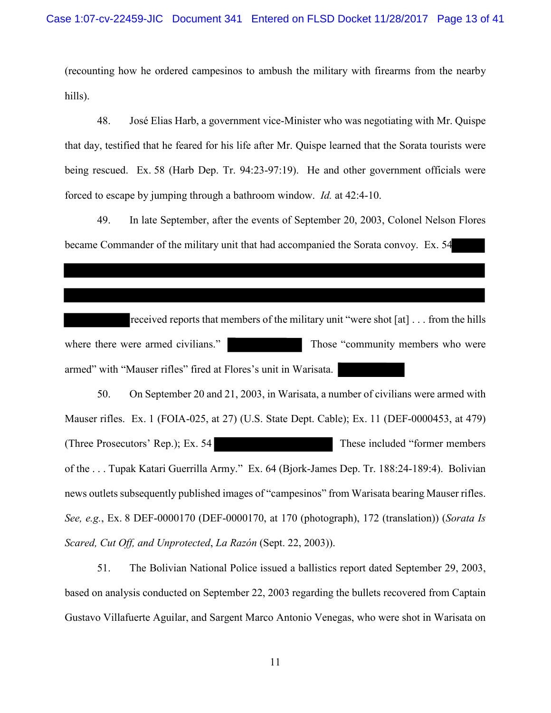(recounting how he ordered campesinos to ambush the military with firearms from the nearby hills).

48. José Elias Harb, a government vice-Minister who was negotiating with Mr. Quispe that day, testified that he feared for his life after Mr. Quispe learned that the Sorata tourists were being rescued. Ex. 58 (Harb Dep. Tr. 94:23-97:19). He and other government officials were forced to escape by jumping through a bathroom window. *Id.* at 42:4-10.

49. In late September, after the events of September 20, 2003, Colonel Nelson Flores became Commander of the military unit that had accompanied the Sorata convoy. Ex. 54

received reports that members of the military unit "were shot [at] . . . from the hills where there were armed civilians." Those "community members who were armed" with "Mauser rifles" fired at Flores's unit in Warisata.

50. On September 20 and 21, 2003, in Warisata, a number of civilians were armed with Mauser rifles. Ex. 1 (FOIA-025, at 27) (U.S. State Dept. Cable); Ex. 11 (DEF-0000453, at 479) (Three Prosecutors' Rep.); Ex. 54 These included "former members of the . . . Tupak Katari Guerrilla Army." Ex. 64 (Bjork-James Dep. Tr. 188:24-189:4). Bolivian news outlets subsequently published images of "campesinos" from Warisata bearing Mauser rifles. *See, e.g.*, Ex. 8 DEF-0000170 (DEF-0000170, at 170 (photograph), 172 (translation)) (*Sorata Is Scared, Cut Off, and Unprotected*, *La Razón* (Sept. 22, 2003)).

51. The Bolivian National Police issued a ballistics report dated September 29, 2003, based on analysis conducted on September 22, 2003 regarding the bullets recovered from Captain Gustavo Villafuerte Aguilar, and Sargent Marco Antonio Venegas, who were shot in Warisata on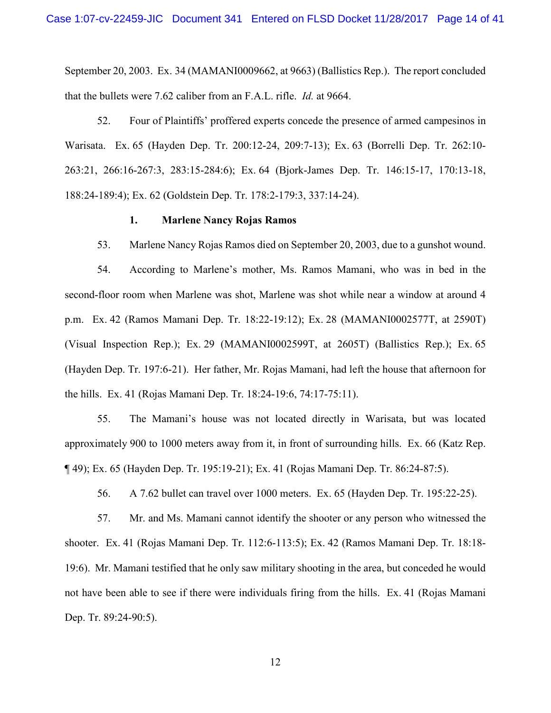September 20, 2003. Ex. 34 (MAMANI0009662, at 9663) (Ballistics Rep.). The report concluded that the bullets were 7.62 caliber from an F.A.L. rifle. *Id.* at 9664.

52. Four of Plaintiffs' proffered experts concede the presence of armed campesinos in Warisata. Ex. 65 (Hayden Dep. Tr. 200:12-24, 209:7-13); Ex. 63 (Borrelli Dep. Tr. 262:10- 263:21, 266:16-267:3, 283:15-284:6); Ex. 64 (Bjork-James Dep. Tr. 146:15-17, 170:13-18, 188:24-189:4); Ex. 62 (Goldstein Dep. Tr. 178:2-179:3, 337:14-24).

#### **1. Marlene Nancy Rojas Ramos**

53. Marlene Nancy Rojas Ramos died on September 20, 2003, due to a gunshot wound.

54. According to Marlene's mother, Ms. Ramos Mamani, who was in bed in the second-floor room when Marlene was shot, Marlene was shot while near a window at around 4 p.m. Ex. 42 (Ramos Mamani Dep. Tr. 18:22-19:12); Ex. 28 (MAMANI0002577T, at 2590T) (Visual Inspection Rep.); Ex. 29 (MAMANI0002599T, at 2605T) (Ballistics Rep.); Ex. 65 (Hayden Dep. Tr. 197:6-21). Her father, Mr. Rojas Mamani, had left the house that afternoon for the hills. Ex. 41 (Rojas Mamani Dep. Tr. 18:24-19:6, 74:17-75:11).

55. The Mamani's house was not located directly in Warisata, but was located approximately 900 to 1000 meters away from it, in front of surrounding hills. Ex. 66 (Katz Rep. ¶ 49); Ex. 65 (Hayden Dep. Tr. 195:19-21); Ex. 41 (Rojas Mamani Dep. Tr. 86:24-87:5).

56. A 7.62 bullet can travel over 1000 meters. Ex. 65 (Hayden Dep. Tr. 195:22-25).

57. Mr. and Ms. Mamani cannot identify the shooter or any person who witnessed the shooter. Ex. 41 (Rojas Mamani Dep. Tr. 112:6-113:5); Ex. 42 (Ramos Mamani Dep. Tr. 18:18- 19:6). Mr. Mamani testified that he only saw military shooting in the area, but conceded he would not have been able to see if there were individuals firing from the hills. Ex. 41 (Rojas Mamani Dep. Tr. 89:24-90:5).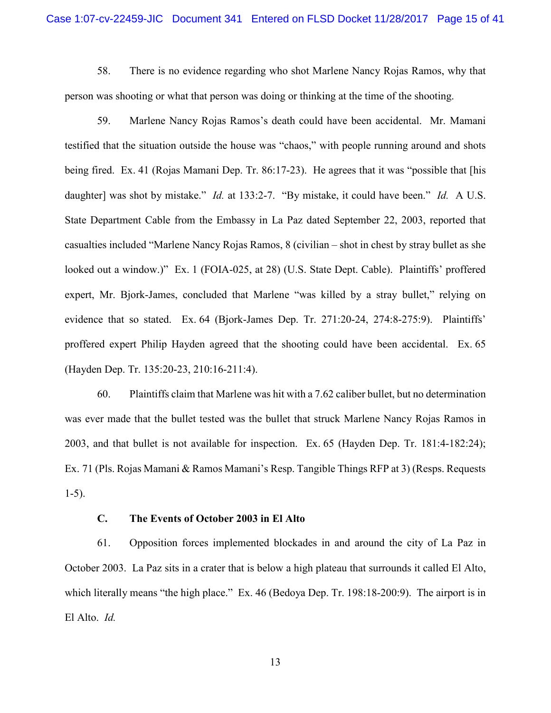58. There is no evidence regarding who shot Marlene Nancy Rojas Ramos, why that person was shooting or what that person was doing or thinking at the time of the shooting.

59. Marlene Nancy Rojas Ramos's death could have been accidental. Mr. Mamani testified that the situation outside the house was "chaos," with people running around and shots being fired. Ex. 41 (Rojas Mamani Dep. Tr. 86:17-23). He agrees that it was "possible that [his daughter] was shot by mistake." *Id.* at 133:2-7. "By mistake, it could have been." *Id.* A U.S. State Department Cable from the Embassy in La Paz dated September 22, 2003, reported that casualties included "Marlene Nancy Rojas Ramos, 8 (civilian – shot in chest by stray bullet as she looked out a window.)" Ex. 1 (FOIA-025, at 28) (U.S. State Dept. Cable). Plaintiffs' proffered expert, Mr. Bjork-James, concluded that Marlene "was killed by a stray bullet," relying on evidence that so stated. Ex. 64 (Bjork-James Dep. Tr. 271:20-24, 274:8-275:9). Plaintiffs' proffered expert Philip Hayden agreed that the shooting could have been accidental. Ex. 65 (Hayden Dep. Tr. 135:20-23, 210:16-211:4).

60. Plaintiffs claim that Marlene was hit with a 7.62 caliber bullet, but no determination was ever made that the bullet tested was the bullet that struck Marlene Nancy Rojas Ramos in 2003, and that bullet is not available for inspection. Ex. 65 (Hayden Dep. Tr. 181:4-182:24); Ex. 71 (Pls. Rojas Mamani & Ramos Mamani's Resp. Tangible Things RFP at 3) (Resps. Requests 1-5).

#### **C. The Events of October 2003 in El Alto**

61. Opposition forces implemented blockades in and around the city of La Paz in October 2003. La Paz sits in a crater that is below a high plateau that surrounds it called El Alto, which literally means "the high place." Ex. 46 (Bedoya Dep. Tr. 198:18-200:9). The airport is in El Alto. *Id.*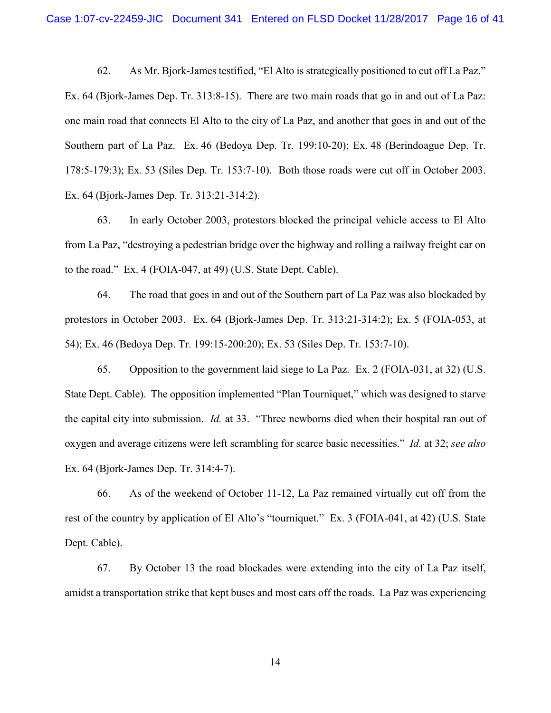62. As Mr. Bjork-James testified, "El Alto is strategically positioned to cut off La Paz." Ex. 64 (Bjork-James Dep. Tr. 313:8-15). There are two main roads that go in and out of La Paz: one main road that connects El Alto to the city of La Paz, and another that goes in and out of the Southern part of La Paz. Ex. 46 (Bedoya Dep. Tr. 199:10-20); Ex. 48 (Berindoague Dep. Tr. 178:5-179:3); Ex. 53 (Siles Dep. Tr. 153:7-10). Both those roads were cut off in October 2003. Ex. 64 (Bjork-James Dep. Tr. 313:21-314:2).

63. In early October 2003, protestors blocked the principal vehicle access to El Alto from La Paz, "destroying a pedestrian bridge over the highway and rolling a railway freight car on to the road." Ex. 4 (FOIA-047, at 49) (U.S. State Dept. Cable).

64. The road that goes in and out of the Southern part of La Paz was also blockaded by protestors in October 2003. Ex. 64 (Bjork-James Dep. Tr. 313:21-314:2); Ex. 5 (FOIA-053, at 54); Ex. 46 (Bedoya Dep. Tr. 199:15-200:20); Ex. 53 (Siles Dep. Tr. 153:7-10).

65. Opposition to the government laid siege to La Paz. Ex. 2 (FOIA-031, at 32) (U.S. State Dept. Cable). The opposition implemented "Plan Tourniquet," which was designed to starve the capital city into submission. *Id.* at 33. "Three newborns died when their hospital ran out of oxygen and average citizens were left scrambling for scarce basic necessities." *Id.* at 32; *see also* Ex. 64 (Bjork-James Dep. Tr. 314:4-7).

66. As of the weekend of October 11-12, La Paz remained virtually cut off from the rest of the country by application of El Alto's "tourniquet." Ex. 3 (FOIA-041, at 42) (U.S. State Dept. Cable).

67. By October 13 the road blockades were extending into the city of La Paz itself, amidst a transportation strike that kept buses and most cars off the roads. La Paz was experiencing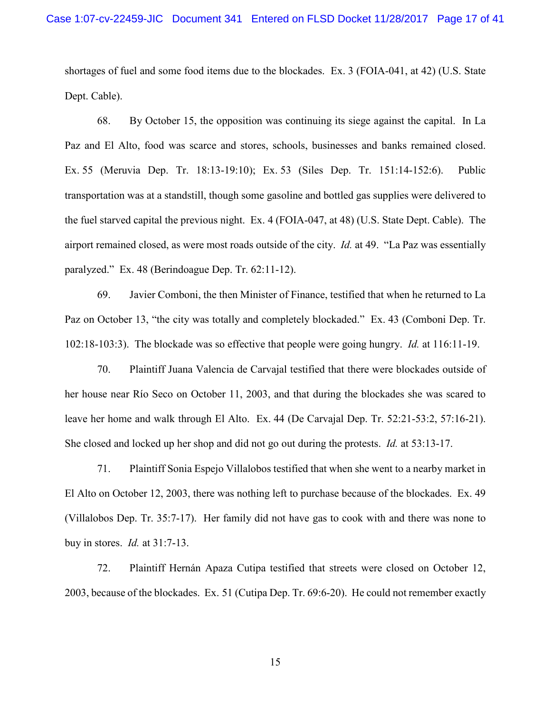shortages of fuel and some food items due to the blockades. Ex. 3 (FOIA-041, at 42) (U.S. State Dept. Cable).

68. By October 15, the opposition was continuing its siege against the capital. In La Paz and El Alto, food was scarce and stores, schools, businesses and banks remained closed. Ex. 55 (Meruvia Dep. Tr. 18:13-19:10); Ex. 53 (Siles Dep. Tr. 151:14-152:6). Public transportation was at a standstill, though some gasoline and bottled gas supplies were delivered to the fuel starved capital the previous night. Ex. 4 (FOIA-047, at 48) (U.S. State Dept. Cable). The airport remained closed, as were most roads outside of the city. *Id.* at 49. "La Paz was essentially paralyzed." Ex. 48 (Berindoague Dep. Tr. 62:11-12).

69. Javier Comboni, the then Minister of Finance, testified that when he returned to La Paz on October 13, "the city was totally and completely blockaded." Ex. 43 (Comboni Dep. Tr. 102:18-103:3). The blockade was so effective that people were going hungry. *Id.* at 116:11-19.

70. Plaintiff Juana Valencia de Carvajal testified that there were blockades outside of her house near Río Seco on October 11, 2003, and that during the blockades she was scared to leave her home and walk through El Alto. Ex. 44 (De Carvajal Dep. Tr. 52:21-53:2, 57:16-21). She closed and locked up her shop and did not go out during the protests. *Id.* at 53:13-17.

71. Plaintiff Sonia Espejo Villalobos testified that when she went to a nearby market in El Alto on October 12, 2003, there was nothing left to purchase because of the blockades. Ex. 49 (Villalobos Dep. Tr. 35:7-17). Her family did not have gas to cook with and there was none to buy in stores. *Id.* at 31:7-13.

72. Plaintiff Hernán Apaza Cutipa testified that streets were closed on October 12, 2003, because of the blockades. Ex. 51 (Cutipa Dep. Tr. 69:6-20). He could not remember exactly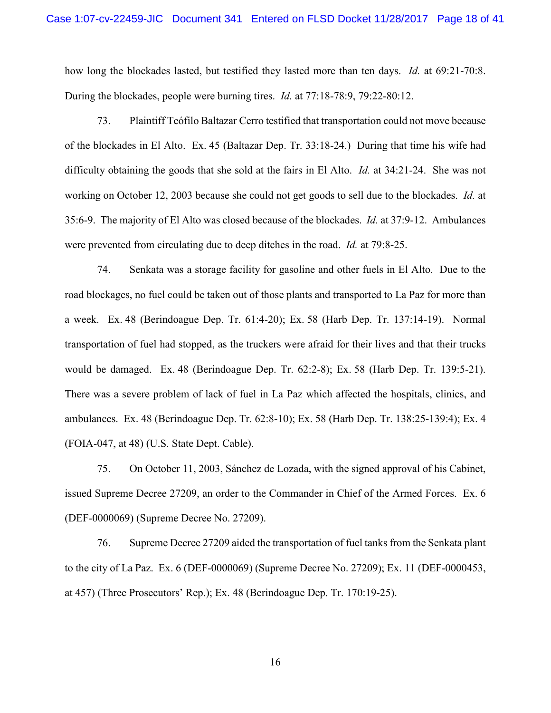how long the blockades lasted, but testified they lasted more than ten days. *Id.* at 69:21-70:8. During the blockades, people were burning tires. *Id.* at 77:18-78:9, 79:22-80:12.

73. Plaintiff Teófilo Baltazar Cerro testified that transportation could not move because of the blockades in El Alto. Ex. 45 (Baltazar Dep. Tr. 33:18-24.) During that time his wife had difficulty obtaining the goods that she sold at the fairs in El Alto. *Id.* at 34:21-24. She was not working on October 12, 2003 because she could not get goods to sell due to the blockades. *Id.* at 35:6-9. The majority of El Alto was closed because of the blockades. *Id.* at 37:9-12. Ambulances were prevented from circulating due to deep ditches in the road. *Id.* at 79:8-25.

74. Senkata was a storage facility for gasoline and other fuels in El Alto. Due to the road blockages, no fuel could be taken out of those plants and transported to La Paz for more than a week. Ex. 48 (Berindoague Dep. Tr. 61:4-20); Ex. 58 (Harb Dep. Tr. 137:14-19). Normal transportation of fuel had stopped, as the truckers were afraid for their lives and that their trucks would be damaged. Ex. 48 (Berindoague Dep. Tr. 62:2-8); Ex. 58 (Harb Dep. Tr. 139:5-21). There was a severe problem of lack of fuel in La Paz which affected the hospitals, clinics, and ambulances. Ex. 48 (Berindoague Dep. Tr. 62:8-10); Ex. 58 (Harb Dep. Tr. 138:25-139:4); Ex. 4 (FOIA-047, at 48) (U.S. State Dept. Cable).

75. On October 11, 2003, Sánchez de Lozada, with the signed approval of his Cabinet, issued Supreme Decree 27209, an order to the Commander in Chief of the Armed Forces. Ex. 6 (DEF-0000069) (Supreme Decree No. 27209).

76. Supreme Decree 27209 aided the transportation of fuel tanks from the Senkata plant to the city of La Paz. Ex. 6 (DEF-0000069) (Supreme Decree No. 27209); Ex. 11 (DEF-0000453, at 457) (Three Prosecutors' Rep.); Ex. 48 (Berindoague Dep. Tr. 170:19-25).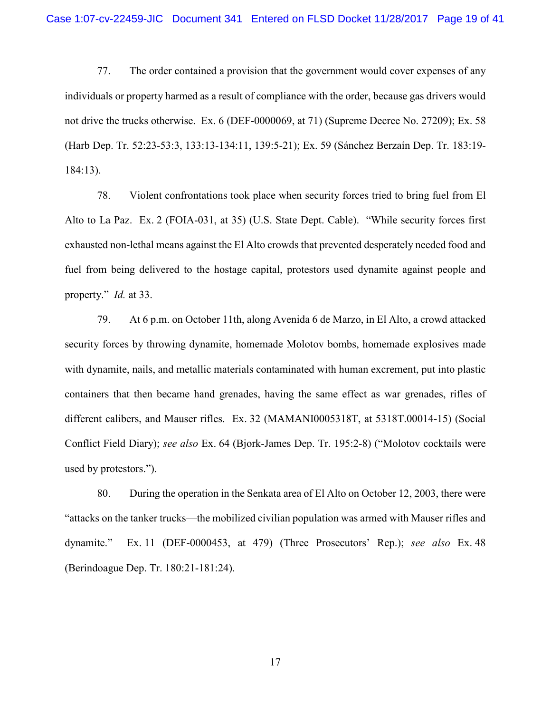77. The order contained a provision that the government would cover expenses of any individuals or property harmed as a result of compliance with the order, because gas drivers would not drive the trucks otherwise. Ex. 6 (DEF-0000069, at 71) (Supreme Decree No. 27209); Ex. 58 (Harb Dep. Tr. 52:23-53:3, 133:13-134:11, 139:5-21); Ex. 59 (Sánchez Berzaín Dep. Tr. 183:19- 184:13).

78. Violent confrontations took place when security forces tried to bring fuel from El Alto to La Paz. Ex. 2 (FOIA-031, at 35) (U.S. State Dept. Cable). "While security forces first exhausted non-lethal means against the El Alto crowds that prevented desperately needed food and fuel from being delivered to the hostage capital, protestors used dynamite against people and property." *Id.* at 33.

79. At 6 p.m. on October 11th, along Avenida 6 de Marzo, in El Alto, a crowd attacked security forces by throwing dynamite, homemade Molotov bombs, homemade explosives made with dynamite, nails, and metallic materials contaminated with human excrement, put into plastic containers that then became hand grenades, having the same effect as war grenades, rifles of different calibers, and Mauser rifles. Ex. 32 (MAMANI0005318T, at 5318T.00014-15) (Social Conflict Field Diary); *see also* Ex. 64 (Bjork-James Dep. Tr. 195:2-8) ("Molotov cocktails were used by protestors.").

80. During the operation in the Senkata area of El Alto on October 12, 2003, there were "attacks on the tanker trucks—the mobilized civilian population was armed with Mauser rifles and dynamite." Ex. 11 (DEF-0000453, at 479) (Three Prosecutors' Rep.); *see also* Ex. 48 (Berindoague Dep. Tr. 180:21-181:24).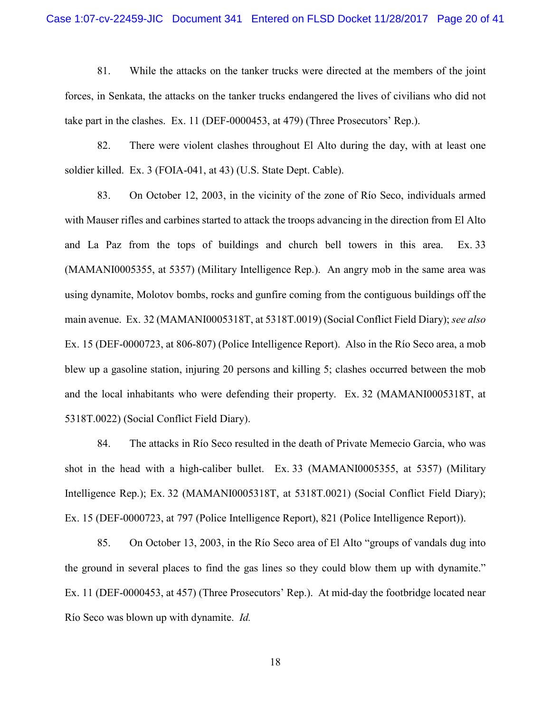81. While the attacks on the tanker trucks were directed at the members of the joint forces, in Senkata, the attacks on the tanker trucks endangered the lives of civilians who did not take part in the clashes. Ex. 11 (DEF-0000453, at 479) (Three Prosecutors' Rep.).

82. There were violent clashes throughout El Alto during the day, with at least one soldier killed. Ex. 3 (FOIA-041, at 43) (U.S. State Dept. Cable).

83. On October 12, 2003, in the vicinity of the zone of Río Seco, individuals armed with Mauser rifles and carbines started to attack the troops advancing in the direction from El Alto and La Paz from the tops of buildings and church bell towers in this area. Ex. 33 (MAMANI0005355, at 5357) (Military Intelligence Rep.). An angry mob in the same area was using dynamite, Molotov bombs, rocks and gunfire coming from the contiguous buildings off the main avenue. Ex. 32 (MAMANI0005318T, at 5318T.0019) (Social Conflict Field Diary); *see also*  Ex. 15 (DEF-0000723, at 806-807) (Police Intelligence Report). Also in the Río Seco area, a mob blew up a gasoline station, injuring 20 persons and killing 5; clashes occurred between the mob and the local inhabitants who were defending their property. Ex. 32 (MAMANI0005318T, at 5318T.0022) (Social Conflict Field Diary).

84. The attacks in Río Seco resulted in the death of Private Memecio Garcia, who was shot in the head with a high-caliber bullet. Ex. 33 (MAMANI0005355, at 5357) (Military Intelligence Rep.); Ex. 32 (MAMANI0005318T, at 5318T.0021) (Social Conflict Field Diary); Ex. 15 (DEF-0000723, at 797 (Police Intelligence Report), 821 (Police Intelligence Report)).

85. On October 13, 2003, in the Río Seco area of El Alto "groups of vandals dug into the ground in several places to find the gas lines so they could blow them up with dynamite." Ex. 11 (DEF-0000453, at 457) (Three Prosecutors' Rep.). At mid-day the footbridge located near Río Seco was blown up with dynamite. *Id.*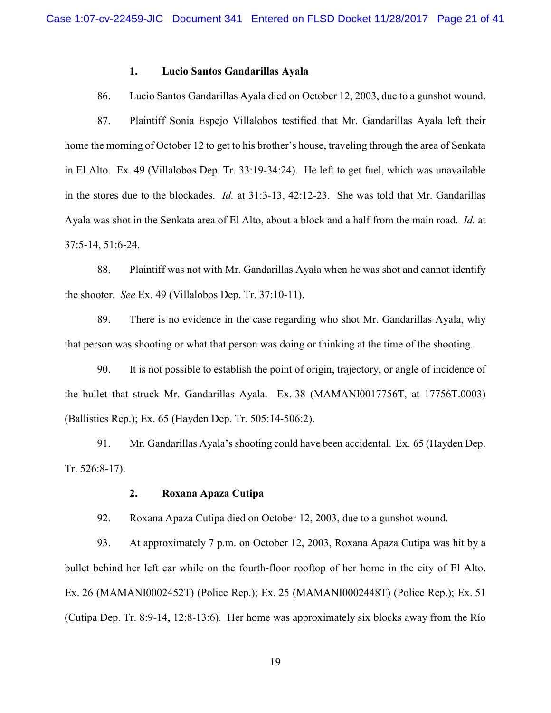## **1. Lucio Santos Gandarillas Ayala**

86. Lucio Santos Gandarillas Ayala died on October 12, 2003, due to a gunshot wound.

87. Plaintiff Sonia Espejo Villalobos testified that Mr. Gandarillas Ayala left their home the morning of October 12 to get to his brother's house, traveling through the area of Senkata in El Alto. Ex. 49 (Villalobos Dep. Tr. 33:19-34:24). He left to get fuel, which was unavailable in the stores due to the blockades. *Id.* at 31:3-13, 42:12-23. She was told that Mr. Gandarillas Ayala was shot in the Senkata area of El Alto, about a block and a half from the main road. *Id.* at 37:5-14, 51:6-24.

88. Plaintiff was not with Mr. Gandarillas Ayala when he was shot and cannot identify the shooter. *See* Ex. 49 (Villalobos Dep. Tr. 37:10-11).

89. There is no evidence in the case regarding who shot Mr. Gandarillas Ayala, why that person was shooting or what that person was doing or thinking at the time of the shooting.

90. It is not possible to establish the point of origin, trajectory, or angle of incidence of the bullet that struck Mr. Gandarillas Ayala. Ex. 38 (MAMANI0017756T, at 17756T.0003) (Ballistics Rep.); Ex. 65 (Hayden Dep. Tr. 505:14-506:2).

91. Mr. Gandarillas Ayala's shooting could have been accidental. Ex. 65 (Hayden Dep. Tr. 526:8-17).

#### **2. Roxana Apaza Cutipa**

92. Roxana Apaza Cutipa died on October 12, 2003, due to a gunshot wound.

93. At approximately 7 p.m. on October 12, 2003, Roxana Apaza Cutipa was hit by a bullet behind her left ear while on the fourth-floor rooftop of her home in the city of El Alto. Ex. 26 (MAMANI0002452T) (Police Rep.); Ex. 25 (MAMANI0002448T) (Police Rep.); Ex. 51 (Cutipa Dep. Tr. 8:9-14, 12:8-13:6). Her home was approximately six blocks away from the Río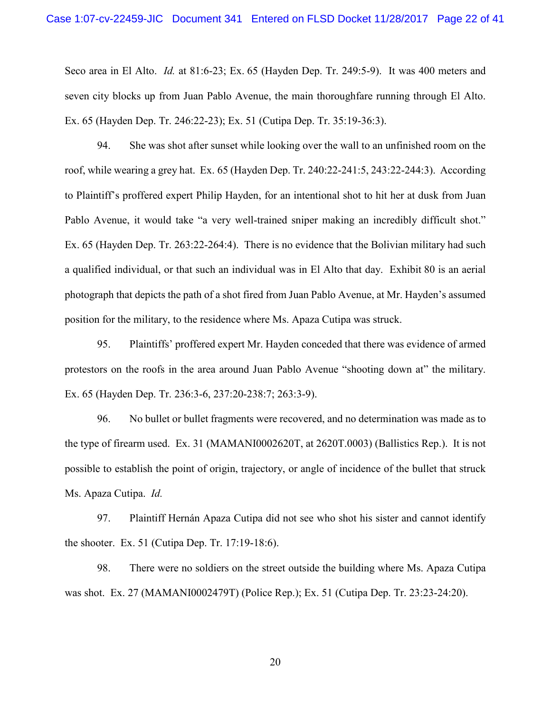Seco area in El Alto. *Id.* at 81:6-23; Ex. 65 (Hayden Dep. Tr. 249:5-9). It was 400 meters and seven city blocks up from Juan Pablo Avenue, the main thoroughfare running through El Alto. Ex. 65 (Hayden Dep. Tr. 246:22-23); Ex. 51 (Cutipa Dep. Tr. 35:19-36:3).

94. She was shot after sunset while looking over the wall to an unfinished room on the roof, while wearing a grey hat. Ex. 65 (Hayden Dep. Tr. 240:22-241:5, 243:22-244:3). According to Plaintiff's proffered expert Philip Hayden, for an intentional shot to hit her at dusk from Juan Pablo Avenue, it would take "a very well-trained sniper making an incredibly difficult shot." Ex. 65 (Hayden Dep. Tr. 263:22-264:4). There is no evidence that the Bolivian military had such a qualified individual, or that such an individual was in El Alto that day. Exhibit 80 is an aerial photograph that depicts the path of a shot fired from Juan Pablo Avenue, at Mr. Hayden's assumed position for the military, to the residence where Ms. Apaza Cutipa was struck.

95. Plaintiffs' proffered expert Mr. Hayden conceded that there was evidence of armed protestors on the roofs in the area around Juan Pablo Avenue "shooting down at" the military. Ex. 65 (Hayden Dep. Tr. 236:3-6, 237:20-238:7; 263:3-9).

96. No bullet or bullet fragments were recovered, and no determination was made as to the type of firearm used. Ex. 31 (MAMANI0002620T, at 2620T.0003) (Ballistics Rep.). It is not possible to establish the point of origin, trajectory, or angle of incidence of the bullet that struck Ms. Apaza Cutipa. *Id.* 

97. Plaintiff Hernán Apaza Cutipa did not see who shot his sister and cannot identify the shooter. Ex. 51 (Cutipa Dep. Tr. 17:19-18:6).

98. There were no soldiers on the street outside the building where Ms. Apaza Cutipa was shot. Ex. 27 (MAMANI0002479T) (Police Rep.); Ex. 51 (Cutipa Dep. Tr. 23:23-24:20).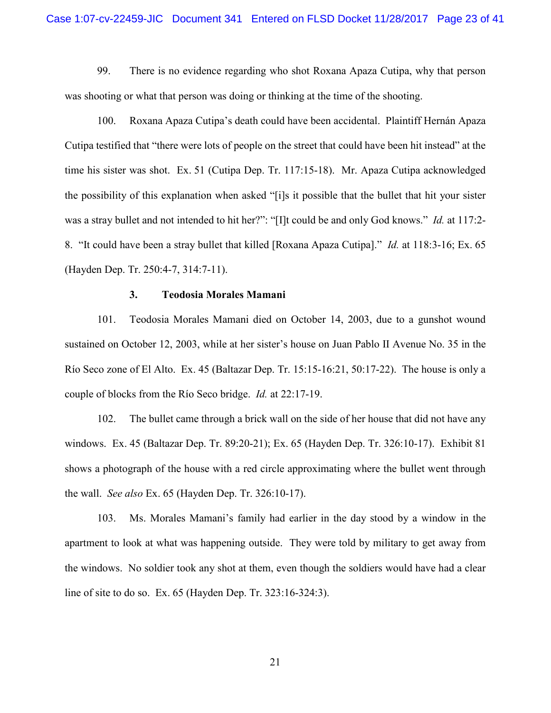99. There is no evidence regarding who shot Roxana Apaza Cutipa, why that person was shooting or what that person was doing or thinking at the time of the shooting.

100. Roxana Apaza Cutipa's death could have been accidental. Plaintiff Hernán Apaza Cutipa testified that "there were lots of people on the street that could have been hit instead" at the time his sister was shot. Ex. 51 (Cutipa Dep. Tr. 117:15-18). Mr. Apaza Cutipa acknowledged the possibility of this explanation when asked "[i]s it possible that the bullet that hit your sister was a stray bullet and not intended to hit her?": "[I]t could be and only God knows." *Id.* at 117:2- 8. "It could have been a stray bullet that killed [Roxana Apaza Cutipa]." *Id.* at 118:3-16; Ex. 65 (Hayden Dep. Tr. 250:4-7, 314:7-11).

## **3. Teodosia Morales Mamani**

101. Teodosia Morales Mamani died on October 14, 2003, due to a gunshot wound sustained on October 12, 2003, while at her sister's house on Juan Pablo II Avenue No. 35 in the Río Seco zone of El Alto. Ex. 45 (Baltazar Dep. Tr. 15:15-16:21, 50:17-22). The house is only a couple of blocks from the Río Seco bridge. *Id.* at 22:17-19.

102. The bullet came through a brick wall on the side of her house that did not have any windows. Ex. 45 (Baltazar Dep. Tr. 89:20-21); Ex. 65 (Hayden Dep. Tr. 326:10-17). Exhibit 81 shows a photograph of the house with a red circle approximating where the bullet went through the wall. *See also* Ex. 65 (Hayden Dep. Tr. 326:10-17).

103. Ms. Morales Mamani's family had earlier in the day stood by a window in the apartment to look at what was happening outside. They were told by military to get away from the windows. No soldier took any shot at them, even though the soldiers would have had a clear line of site to do so. Ex. 65 (Hayden Dep. Tr. 323:16-324:3).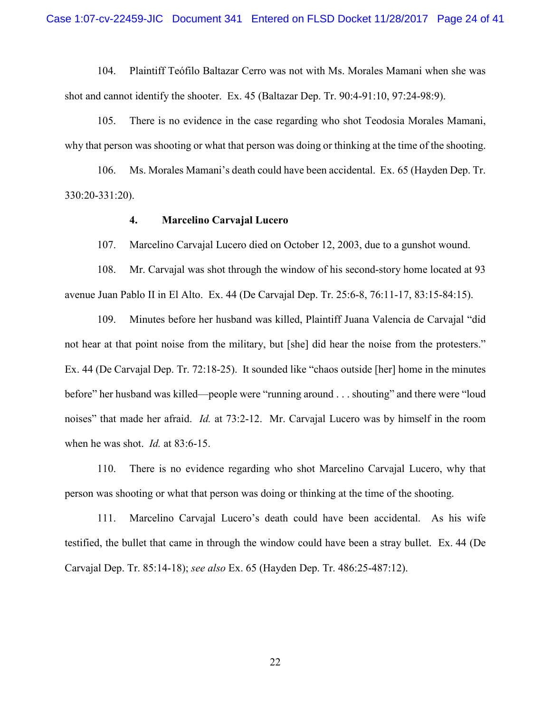104. Plaintiff Teófilo Baltazar Cerro was not with Ms. Morales Mamani when she was shot and cannot identify the shooter. Ex. 45 (Baltazar Dep. Tr. 90:4-91:10, 97:24-98:9).

105. There is no evidence in the case regarding who shot Teodosia Morales Mamani, why that person was shooting or what that person was doing or thinking at the time of the shooting.

106. Ms. Morales Mamani's death could have been accidental. Ex. 65 (Hayden Dep. Tr. 330:20-331:20).

#### **4. Marcelino Carvajal Lucero**

107. Marcelino Carvajal Lucero died on October 12, 2003, due to a gunshot wound.

108. Mr. Carvajal was shot through the window of his second-story home located at 93 avenue Juan Pablo II in El Alto. Ex. 44 (De Carvajal Dep. Tr. 25:6-8, 76:11-17, 83:15-84:15).

109. Minutes before her husband was killed, Plaintiff Juana Valencia de Carvajal "did not hear at that point noise from the military, but [she] did hear the noise from the protesters." Ex. 44 (De Carvajal Dep. Tr. 72:18-25). It sounded like "chaos outside [her] home in the minutes before" her husband was killed—people were "running around . . . shouting" and there were "loud noises" that made her afraid. *Id.* at 73:2-12. Mr. Carvajal Lucero was by himself in the room when he was shot. *Id.* at 83:6-15.

110. There is no evidence regarding who shot Marcelino Carvajal Lucero, why that person was shooting or what that person was doing or thinking at the time of the shooting.

111. Marcelino Carvajal Lucero's death could have been accidental. As his wife testified, the bullet that came in through the window could have been a stray bullet. Ex. 44 (De Carvajal Dep. Tr. 85:14-18); *see also* Ex. 65 (Hayden Dep. Tr. 486:25-487:12).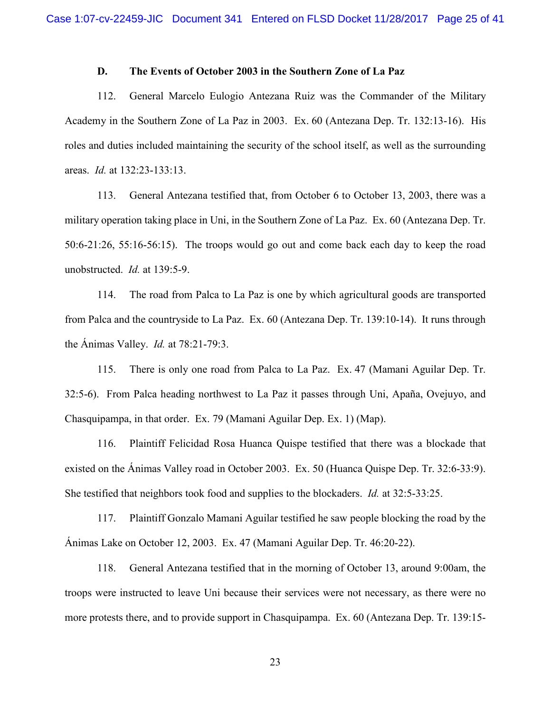## **D. The Events of October 2003 in the Southern Zone of La Paz**

112. General Marcelo Eulogio Antezana Ruiz was the Commander of the Military Academy in the Southern Zone of La Paz in 2003. Ex. 60 (Antezana Dep. Tr. 132:13-16). His roles and duties included maintaining the security of the school itself, as well as the surrounding areas. *Id.* at 132:23-133:13.

113. General Antezana testified that, from October 6 to October 13, 2003, there was a military operation taking place in Uni, in the Southern Zone of La Paz. Ex. 60 (Antezana Dep. Tr. 50:6-21:26, 55:16-56:15). The troops would go out and come back each day to keep the road unobstructed. *Id.* at 139:5-9.

114. The road from Palca to La Paz is one by which agricultural goods are transported from Palca and the countryside to La Paz. Ex. 60 (Antezana Dep. Tr. 139:10-14). It runs through the Ánimas Valley. *Id.* at 78:21-79:3.

115. There is only one road from Palca to La Paz. Ex. 47 (Mamani Aguilar Dep. Tr. 32:5-6). From Palca heading northwest to La Paz it passes through Uni, Apaña, Ovejuyo, and Chasquipampa, in that order. Ex. 79 (Mamani Aguilar Dep. Ex. 1) (Map).

116. Plaintiff Felicidad Rosa Huanca Quispe testified that there was a blockade that existed on the Ánimas Valley road in October 2003. Ex. 50 (Huanca Quispe Dep. Tr. 32:6-33:9). She testified that neighbors took food and supplies to the blockaders. *Id.* at 32:5-33:25.

117. Plaintiff Gonzalo Mamani Aguilar testified he saw people blocking the road by the Ánimas Lake on October 12, 2003. Ex. 47 (Mamani Aguilar Dep. Tr. 46:20-22).

118. General Antezana testified that in the morning of October 13, around 9:00am, the troops were instructed to leave Uni because their services were not necessary, as there were no more protests there, and to provide support in Chasquipampa. Ex. 60 (Antezana Dep. Tr. 139:15-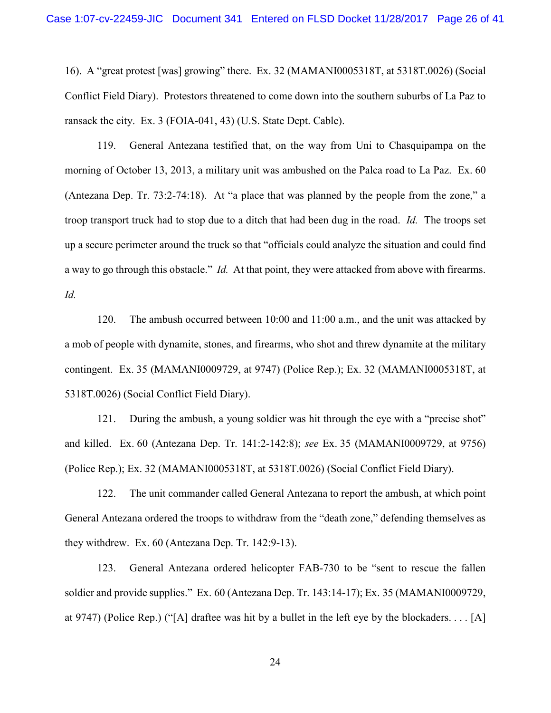16). A "great protest [was] growing" there. Ex. 32 (MAMANI0005318T, at 5318T.0026) (Social Conflict Field Diary). Protestors threatened to come down into the southern suburbs of La Paz to ransack the city. Ex. 3 (FOIA-041, 43) (U.S. State Dept. Cable).

119. General Antezana testified that, on the way from Uni to Chasquipampa on the morning of October 13, 2013, a military unit was ambushed on the Palca road to La Paz. Ex. 60 (Antezana Dep. Tr. 73:2-74:18). At "a place that was planned by the people from the zone," a troop transport truck had to stop due to a ditch that had been dug in the road. *Id.* The troops set up a secure perimeter around the truck so that "officials could analyze the situation and could find a way to go through this obstacle." *Id.* At that point, they were attacked from above with firearms. *Id.*

120. The ambush occurred between 10:00 and 11:00 a.m., and the unit was attacked by a mob of people with dynamite, stones, and firearms, who shot and threw dynamite at the military contingent. Ex. 35 (MAMANI0009729, at 9747) (Police Rep.); Ex. 32 (MAMANI0005318T, at 5318T.0026) (Social Conflict Field Diary).

121. During the ambush, a young soldier was hit through the eye with a "precise shot" and killed. Ex. 60 (Antezana Dep. Tr. 141:2-142:8); *see* Ex. 35 (MAMANI0009729, at 9756) (Police Rep.); Ex. 32 (MAMANI0005318T, at 5318T.0026) (Social Conflict Field Diary).

122. The unit commander called General Antezana to report the ambush, at which point General Antezana ordered the troops to withdraw from the "death zone," defending themselves as they withdrew. Ex. 60 (Antezana Dep. Tr. 142:9-13).

123. General Antezana ordered helicopter FAB-730 to be "sent to rescue the fallen soldier and provide supplies." Ex. 60 (Antezana Dep. Tr. 143:14-17); Ex. 35 (MAMANI0009729, at 9747) (Police Rep.) ("[A] draftee was hit by a bullet in the left eye by the blockaders. . . . [A]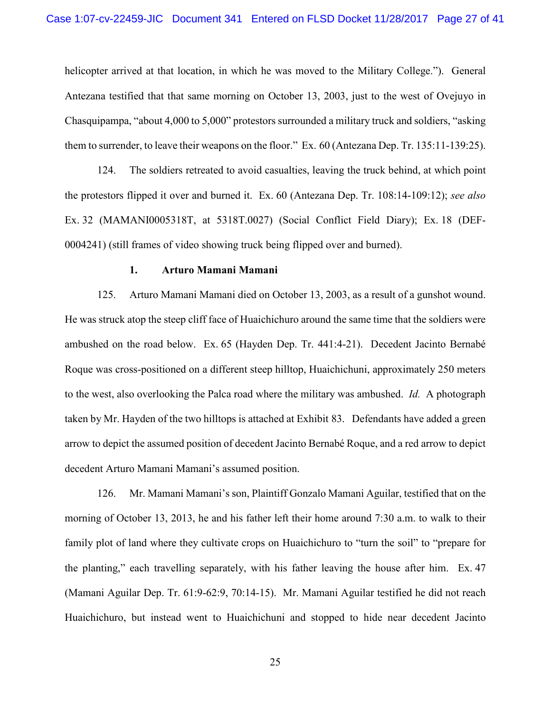helicopter arrived at that location, in which he was moved to the Military College."). General Antezana testified that that same morning on October 13, 2003, just to the west of Ovejuyo in Chasquipampa, "about 4,000 to 5,000" protestors surrounded a military truck and soldiers, "asking them to surrender, to leave their weapons on the floor." Ex. 60 (Antezana Dep. Tr. 135:11-139:25).

124. The soldiers retreated to avoid casualties, leaving the truck behind, at which point the protestors flipped it over and burned it. Ex. 60 (Antezana Dep. Tr. 108:14-109:12); *see also* Ex. 32 (MAMANI0005318T, at 5318T.0027) (Social Conflict Field Diary); Ex. 18 (DEF-0004241) (still frames of video showing truck being flipped over and burned).

### **1. Arturo Mamani Mamani**

125. Arturo Mamani Mamani died on October 13, 2003, as a result of a gunshot wound. He was struck atop the steep cliff face of Huaichichuro around the same time that the soldiers were ambushed on the road below. Ex. 65 (Hayden Dep. Tr. 441:4-21). Decedent Jacinto Bernabé Roque was cross-positioned on a different steep hilltop, Huaichichuni, approximately 250 meters to the west, also overlooking the Palca road where the military was ambushed. *Id.* A photograph taken by Mr. Hayden of the two hilltops is attached at Exhibit 83. Defendants have added a green arrow to depict the assumed position of decedent Jacinto Bernabé Roque, and a red arrow to depict decedent Arturo Mamani Mamani's assumed position.

126. Mr. Mamani Mamani's son, Plaintiff Gonzalo Mamani Aguilar, testified that on the morning of October 13, 2013, he and his father left their home around 7:30 a.m. to walk to their family plot of land where they cultivate crops on Huaichichuro to "turn the soil" to "prepare for the planting," each travelling separately, with his father leaving the house after him. Ex. 47 (Mamani Aguilar Dep. Tr. 61:9-62:9, 70:14-15). Mr. Mamani Aguilar testified he did not reach Huaichichuro, but instead went to Huaichichuni and stopped to hide near decedent Jacinto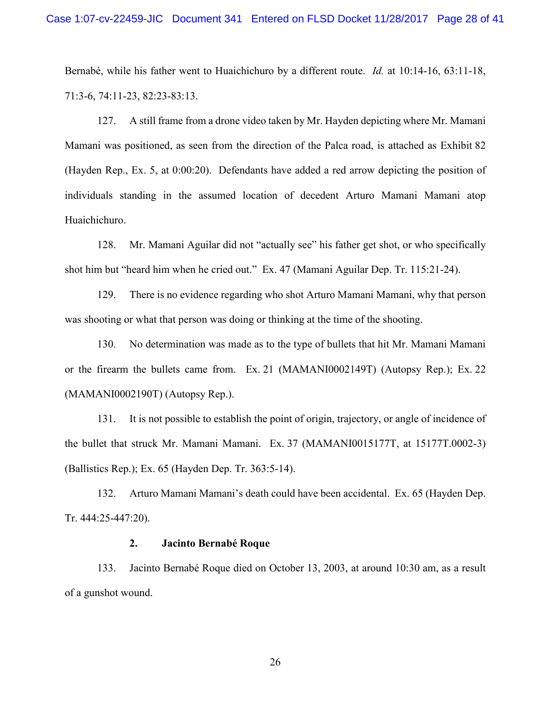Bernabé, while his father went to Huaichichuro by a different route. *Id.* at 10:14-16, 63:11-18, 71:3-6, 74:11-23, 82:23-83:13.

127. A still frame from a drone video taken by Mr. Hayden depicting where Mr. Mamani Mamani was positioned, as seen from the direction of the Palca road, is attached as Exhibit 82 (Hayden Rep., Ex. 5, at 0:00:20). Defendants have added a red arrow depicting the position of individuals standing in the assumed location of decedent Arturo Mamani Mamani atop Huaichichuro.

128. Mr. Mamani Aguilar did not "actually see" his father get shot, or who specifically shot him but "heard him when he cried out." Ex. 47 (Mamani Aguilar Dep. Tr. 115:21-24).

129. There is no evidence regarding who shot Arturo Mamani Mamani, why that person was shooting or what that person was doing or thinking at the time of the shooting.

130. No determination was made as to the type of bullets that hit Mr. Mamani Mamani or the firearm the bullets came from. Ex. 21 (MAMANI0002149T) (Autopsy Rep.); Ex. 22 (MAMANI0002190T) (Autopsy Rep.).

131. It is not possible to establish the point of origin, trajectory, or angle of incidence of the bullet that struck Mr. Mamani Mamani. Ex. 37 (MAMANI0015177T, at 15177T.0002-3) (Ballistics Rep.); Ex. 65 (Hayden Dep. Tr. 363:5-14).

132. Arturo Mamani Mamani's death could have been accidental. Ex. 65 (Hayden Dep. Tr. 444:25-447:20).

#### **2. Jacinto Bernabé Roque**

133. Jacinto Bernabé Roque died on October 13, 2003, at around 10:30 am, as a result of a gunshot wound.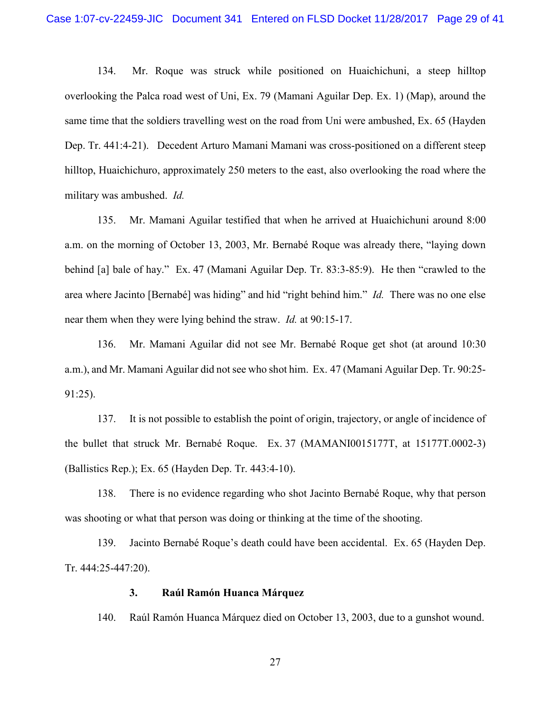134. Mr. Roque was struck while positioned on Huaichichuni, a steep hilltop overlooking the Palca road west of Uni, Ex. 79 (Mamani Aguilar Dep. Ex. 1) (Map), around the same time that the soldiers travelling west on the road from Uni were ambushed, Ex. 65 (Hayden Dep. Tr. 441:4-21). Decedent Arturo Mamani Mamani was cross-positioned on a different steep hilltop, Huaichichuro, approximately 250 meters to the east, also overlooking the road where the military was ambushed. *Id.*

135. Mr. Mamani Aguilar testified that when he arrived at Huaichichuni around 8:00 a.m. on the morning of October 13, 2003, Mr. Bernabé Roque was already there, "laying down behind [a] bale of hay." Ex. 47 (Mamani Aguilar Dep. Tr. 83:3-85:9). He then "crawled to the area where Jacinto [Bernabé] was hiding" and hid "right behind him." *Id.* There was no one else near them when they were lying behind the straw. *Id.* at 90:15-17.

136. Mr. Mamani Aguilar did not see Mr. Bernabé Roque get shot (at around 10:30 a.m.), and Mr. Mamani Aguilar did not see who shot him. Ex. 47 (Mamani Aguilar Dep. Tr. 90:25- 91:25).

137. It is not possible to establish the point of origin, trajectory, or angle of incidence of the bullet that struck Mr. Bernabé Roque. Ex. 37 (MAMANI0015177T, at 15177T.0002-3) (Ballistics Rep.); Ex. 65 (Hayden Dep. Tr. 443:4-10).

138. There is no evidence regarding who shot Jacinto Bernabé Roque, why that person was shooting or what that person was doing or thinking at the time of the shooting.

139. Jacinto Bernabé Roque's death could have been accidental. Ex. 65 (Hayden Dep. Tr. 444:25-447:20).

#### **3. Raúl Ramón Huanca Márquez**

140. Raúl Ramón Huanca Márquez died on October 13, 2003, due to a gunshot wound.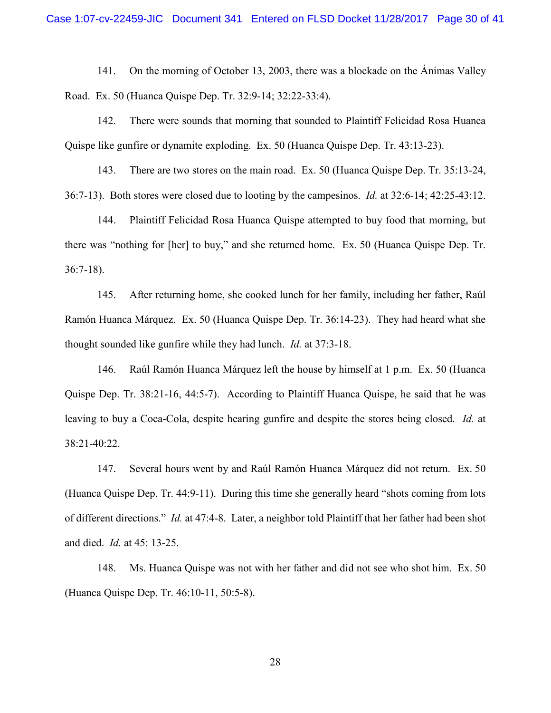141. On the morning of October 13, 2003, there was a blockade on the Ánimas Valley Road. Ex. 50 (Huanca Quispe Dep. Tr. 32:9-14; 32:22-33:4).

142. There were sounds that morning that sounded to Plaintiff Felicidad Rosa Huanca Quispe like gunfire or dynamite exploding. Ex. 50 (Huanca Quispe Dep. Tr. 43:13-23).

143. There are two stores on the main road. Ex. 50 (Huanca Quispe Dep. Tr. 35:13-24, 36:7-13). Both stores were closed due to looting by the campesinos. *Id.* at 32:6-14; 42:25-43:12.

144. Plaintiff Felicidad Rosa Huanca Quispe attempted to buy food that morning, but there was "nothing for [her] to buy," and she returned home. Ex. 50 (Huanca Quispe Dep. Tr. 36:7-18).

145. After returning home, she cooked lunch for her family, including her father, Raúl Ramón Huanca Márquez. Ex. 50 (Huanca Quispe Dep. Tr. 36:14-23). They had heard what she thought sounded like gunfire while they had lunch. *Id.* at 37:3-18.

146. Raúl Ramón Huanca Márquez left the house by himself at 1 p.m. Ex. 50 (Huanca Quispe Dep. Tr. 38:21-16, 44:5-7). According to Plaintiff Huanca Quispe, he said that he was leaving to buy a Coca-Cola, despite hearing gunfire and despite the stores being closed. *Id.* at 38:21-40:22.

147. Several hours went by and Raúl Ramón Huanca Márquez did not return. Ex. 50 (Huanca Quispe Dep. Tr. 44:9-11). During this time she generally heard "shots coming from lots of different directions." *Id.* at 47:4-8. Later, a neighbor told Plaintiff that her father had been shot and died. *Id.* at 45: 13-25.

148. Ms. Huanca Quispe was not with her father and did not see who shot him. Ex. 50 (Huanca Quispe Dep. Tr. 46:10-11, 50:5-8).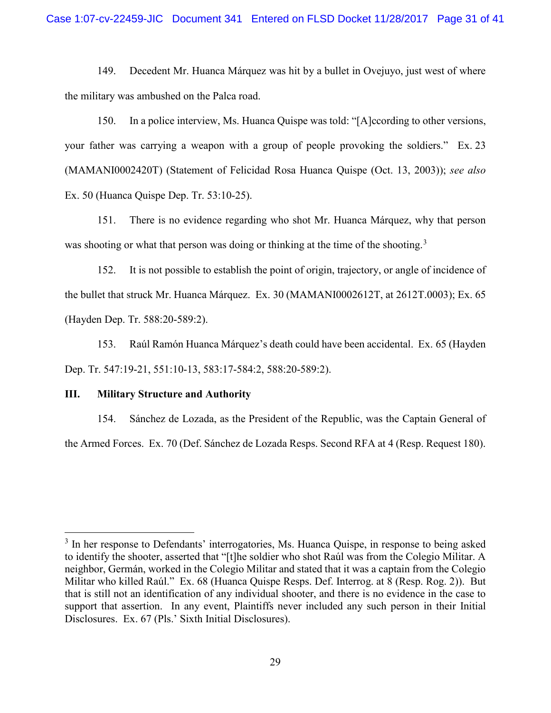149. Decedent Mr. Huanca Márquez was hit by a bullet in Ovejuyo, just west of where the military was ambushed on the Palca road.

150. In a police interview, Ms. Huanca Quispe was told: "[A]ccording to other versions, your father was carrying a weapon with a group of people provoking the soldiers." Ex. 23 (MAMANI0002420T) (Statement of Felicidad Rosa Huanca Quispe (Oct. 13, 2003)); *see also*  Ex. 50 (Huanca Quispe Dep. Tr. 53:10-25).

151. There is no evidence regarding who shot Mr. Huanca Márquez, why that person was shooting or what that person was doing or thinking at the time of the shooting.<sup>3</sup>

152. It is not possible to establish the point of origin, trajectory, or angle of incidence of the bullet that struck Mr. Huanca Márquez. Ex. 30 (MAMANI0002612T, at 2612T.0003); Ex. 65 (Hayden Dep. Tr. 588:20-589:2).

153. Raúl Ramón Huanca Márquez's death could have been accidental. Ex. 65 (Hayden Dep. Tr. 547:19-21, 551:10-13, 583:17-584:2, 588:20-589:2).

#### **III. Military Structure and Authority**

154. Sánchez de Lozada, as the President of the Republic, was the Captain General of the Armed Forces. Ex. 70 (Def. Sánchez de Lozada Resps. Second RFA at 4 (Resp. Request 180).

<sup>&</sup>lt;sup>3</sup> In her response to Defendants' interrogatories, Ms. Huanca Quispe, in response to being asked to identify the shooter, asserted that "[t]he soldier who shot Raúl was from the Colegio Militar. A neighbor, Germán, worked in the Colegio Militar and stated that it was a captain from the Colegio Militar who killed Raúl." Ex. 68 (Huanca Quispe Resps. Def. Interrog. at 8 (Resp. Rog. 2)). But that is still not an identification of any individual shooter, and there is no evidence in the case to support that assertion. In any event, Plaintiffs never included any such person in their Initial Disclosures. Ex. 67 (Pls.' Sixth Initial Disclosures).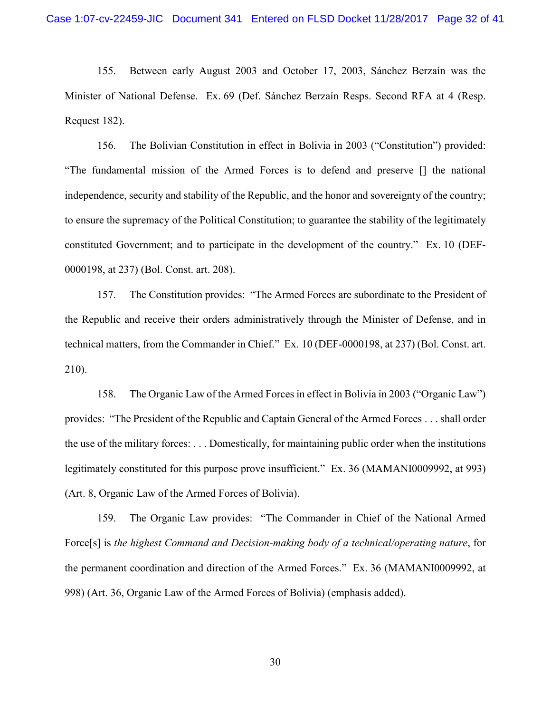155. Between early August 2003 and October 17, 2003, Sánchez Berzaín was the Minister of National Defense. Ex. 69 (Def. Sánchez Berzaín Resps. Second RFA at 4 (Resp. Request 182).

156. The Bolivian Constitution in effect in Bolivia in 2003 ("Constitution") provided: "The fundamental mission of the Armed Forces is to defend and preserve [] the national independence, security and stability of the Republic, and the honor and sovereignty of the country; to ensure the supremacy of the Political Constitution; to guarantee the stability of the legitimately constituted Government; and to participate in the development of the country." Ex. 10 (DEF-0000198, at 237) (Bol. Const. art. 208).

157. The Constitution provides: "The Armed Forces are subordinate to the President of the Republic and receive their orders administratively through the Minister of Defense, and in technical matters, from the Commander in Chief." Ex. 10 (DEF-0000198, at 237) (Bol. Const. art. 210).

158. The Organic Law of the Armed Forces in effect in Bolivia in 2003 ("Organic Law") provides: "The President of the Republic and Captain General of the Armed Forces . . . shall order the use of the military forces: . . . Domestically, for maintaining public order when the institutions legitimately constituted for this purpose prove insufficient." Ex. 36 (MAMANI0009992, at 993) (Art. 8, Organic Law of the Armed Forces of Bolivia).

159. The Organic Law provides: "The Commander in Chief of the National Armed Force[s] is *the highest Command and Decision-making body of a technical/operating nature*, for the permanent coordination and direction of the Armed Forces." Ex. 36 (MAMANI0009992, at 998) (Art. 36, Organic Law of the Armed Forces of Bolivia) (emphasis added).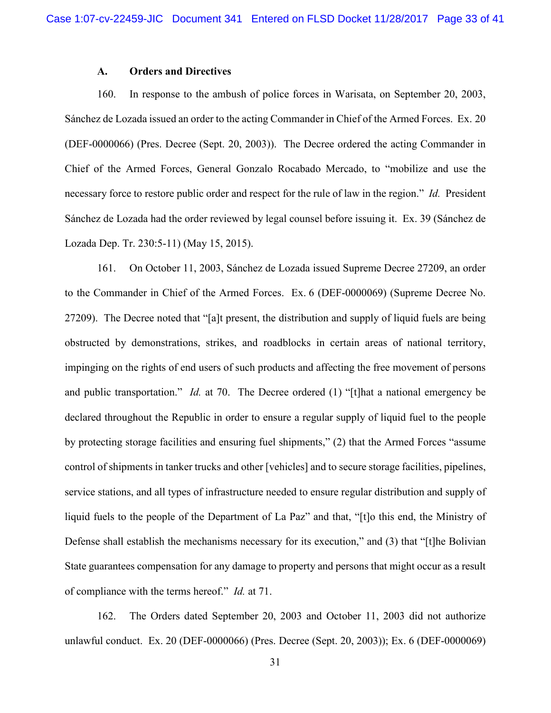## **A. Orders and Directives**

160. In response to the ambush of police forces in Warisata, on September 20, 2003, Sánchez de Lozada issued an order to the acting Commander in Chief of the Armed Forces. Ex. 20 (DEF-0000066) (Pres. Decree (Sept. 20, 2003)). The Decree ordered the acting Commander in Chief of the Armed Forces, General Gonzalo Rocabado Mercado, to "mobilize and use the necessary force to restore public order and respect for the rule of law in the region." *Id.* President Sánchez de Lozada had the order reviewed by legal counsel before issuing it. Ex. 39 (Sánchez de Lozada Dep. Tr. 230:5-11) (May 15, 2015).

161. On October 11, 2003, Sánchez de Lozada issued Supreme Decree 27209, an order to the Commander in Chief of the Armed Forces. Ex. 6 (DEF-0000069) (Supreme Decree No. 27209). The Decree noted that "[a]t present, the distribution and supply of liquid fuels are being obstructed by demonstrations, strikes, and roadblocks in certain areas of national territory, impinging on the rights of end users of such products and affecting the free movement of persons and public transportation." *Id.* at 70. The Decree ordered (1) "[t]hat a national emergency be declared throughout the Republic in order to ensure a regular supply of liquid fuel to the people by protecting storage facilities and ensuring fuel shipments," (2) that the Armed Forces "assume control of shipments in tanker trucks and other [vehicles] and to secure storage facilities, pipelines, service stations, and all types of infrastructure needed to ensure regular distribution and supply of liquid fuels to the people of the Department of La Paz" and that, "[t]o this end, the Ministry of Defense shall establish the mechanisms necessary for its execution," and (3) that "[t]he Bolivian State guarantees compensation for any damage to property and persons that might occur as a result of compliance with the terms hereof." *Id.* at 71.

162. The Orders dated September 20, 2003 and October 11, 2003 did not authorize unlawful conduct. Ex. 20 (DEF-0000066) (Pres. Decree (Sept. 20, 2003)); Ex. 6 (DEF-0000069)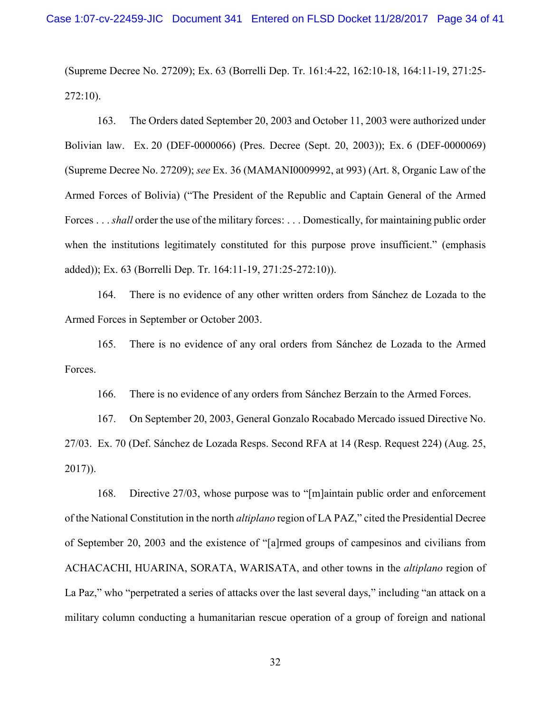(Supreme Decree No. 27209); Ex. 63 (Borrelli Dep. Tr. 161:4-22, 162:10-18, 164:11-19, 271:25- 272:10).

163. The Orders dated September 20, 2003 and October 11, 2003 were authorized under Bolivian law. Ex. 20 (DEF-0000066) (Pres. Decree (Sept. 20, 2003)); Ex. 6 (DEF-0000069) (Supreme Decree No. 27209); *see* Ex. 36 (MAMANI0009992, at 993) (Art. 8, Organic Law of the Armed Forces of Bolivia) ("The President of the Republic and Captain General of the Armed Forces . . . *shall* order the use of the military forces: . . . Domestically, for maintaining public order when the institutions legitimately constituted for this purpose prove insufficient." (emphasis added)); Ex. 63 (Borrelli Dep. Tr. 164:11-19, 271:25-272:10)).

164. There is no evidence of any other written orders from Sánchez de Lozada to the Armed Forces in September or October 2003.

165. There is no evidence of any oral orders from Sánchez de Lozada to the Armed Forces.

166. There is no evidence of any orders from Sánchez Berzaín to the Armed Forces.

167. On September 20, 2003, General Gonzalo Rocabado Mercado issued Directive No. 27/03. Ex. 70 (Def. Sánchez de Lozada Resps. Second RFA at 14 (Resp. Request 224) (Aug. 25, 2017)).

168. Directive 27/03, whose purpose was to "[m]aintain public order and enforcement of the National Constitution in the north *altiplano* region of LA PAZ," cited the Presidential Decree of September 20, 2003 and the existence of "[a]rmed groups of campesinos and civilians from ACHACACHI, HUARINA, SORATA, WARISATA, and other towns in the *altiplano* region of La Paz," who "perpetrated a series of attacks over the last several days," including "an attack on a military column conducting a humanitarian rescue operation of a group of foreign and national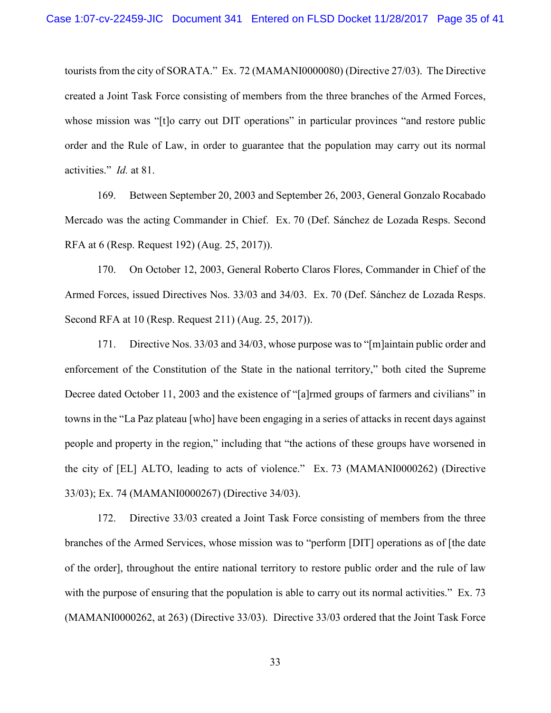tourists from the city of SORATA." Ex. 72 (MAMANI0000080) (Directive 27/03). The Directive created a Joint Task Force consisting of members from the three branches of the Armed Forces, whose mission was "[t]o carry out DIT operations" in particular provinces "and restore public order and the Rule of Law, in order to guarantee that the population may carry out its normal activities." *Id.* at 81.

169. Between September 20, 2003 and September 26, 2003, General Gonzalo Rocabado Mercado was the acting Commander in Chief. Ex. 70 (Def. Sánchez de Lozada Resps. Second RFA at 6 (Resp. Request 192) (Aug. 25, 2017)).

170. On October 12, 2003, General Roberto Claros Flores, Commander in Chief of the Armed Forces, issued Directives Nos. 33/03 and 34/03. Ex. 70 (Def. Sánchez de Lozada Resps. Second RFA at 10 (Resp. Request 211) (Aug. 25, 2017)).

171. Directive Nos. 33/03 and 34/03, whose purpose was to "[m]aintain public order and enforcement of the Constitution of the State in the national territory," both cited the Supreme Decree dated October 11, 2003 and the existence of "[a]rmed groups of farmers and civilians" in towns in the "La Paz plateau [who] have been engaging in a series of attacks in recent days against people and property in the region," including that "the actions of these groups have worsened in the city of [EL] ALTO, leading to acts of violence." Ex. 73 (MAMANI0000262) (Directive 33/03); Ex. 74 (MAMANI0000267) (Directive 34/03).

172. Directive 33/03 created a Joint Task Force consisting of members from the three branches of the Armed Services, whose mission was to "perform [DIT] operations as of [the date of the order], throughout the entire national territory to restore public order and the rule of law with the purpose of ensuring that the population is able to carry out its normal activities." Ex. 73 (MAMANI0000262, at 263) (Directive 33/03). Directive 33/03 ordered that the Joint Task Force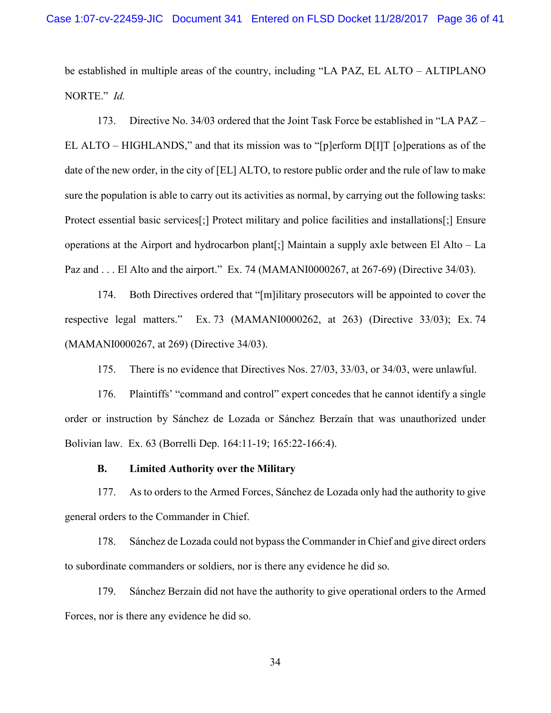be established in multiple areas of the country, including "LA PAZ, EL ALTO – ALTIPLANO NORTE." *Id.* 

173. Directive No. 34/03 ordered that the Joint Task Force be established in "LA PAZ – EL ALTO – HIGHLANDS," and that its mission was to "[p]erform D[I]T [o]perations as of the date of the new order, in the city of [EL] ALTO, to restore public order and the rule of law to make sure the population is able to carry out its activities as normal, by carrying out the following tasks: Protect essential basic services[;] Protect military and police facilities and installations[;] Ensure operations at the Airport and hydrocarbon plant[;] Maintain a supply axle between El Alto – La Paz and . . . El Alto and the airport." Ex. 74 (MAMANI0000267, at 267-69) (Directive 34/03).

174. Both Directives ordered that "[m]ilitary prosecutors will be appointed to cover the respective legal matters." Ex. 73 (MAMANI0000262, at 263) (Directive 33/03); Ex. 74 (MAMANI0000267, at 269) (Directive 34/03).

175. There is no evidence that Directives Nos. 27/03, 33/03, or 34/03, were unlawful.

176. Plaintiffs' "command and control" expert concedes that he cannot identify a single order or instruction by Sánchez de Lozada or Sánchez Berzaín that was unauthorized under Bolivian law. Ex. 63 (Borrelli Dep. 164:11-19; 165:22-166:4).

#### **B. Limited Authority over the Military**

177. As to orders to the Armed Forces, Sánchez de Lozada only had the authority to give general orders to the Commander in Chief.

178. Sánchez de Lozada could not bypass the Commander in Chief and give direct orders to subordinate commanders or soldiers, nor is there any evidence he did so.

179. Sánchez Berzaín did not have the authority to give operational orders to the Armed Forces, nor is there any evidence he did so.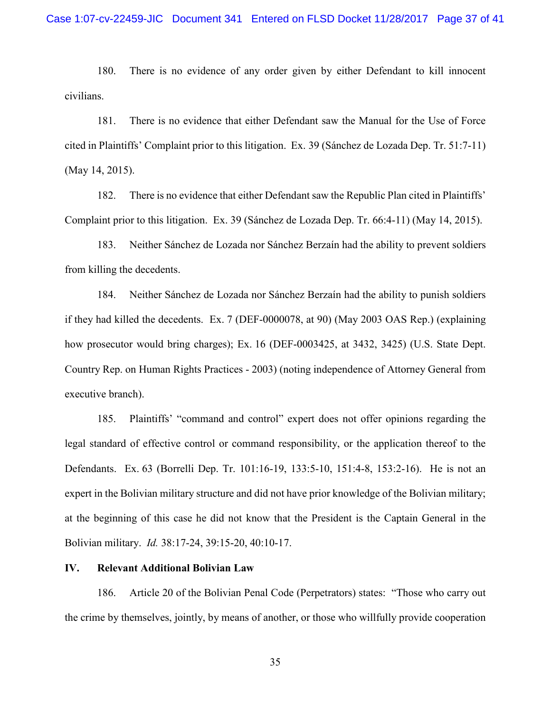180. There is no evidence of any order given by either Defendant to kill innocent civilians.

181. There is no evidence that either Defendant saw the Manual for the Use of Force cited in Plaintiffs' Complaint prior to this litigation. Ex. 39 (Sánchez de Lozada Dep. Tr. 51:7-11) (May 14, 2015).

182. There is no evidence that either Defendant saw the Republic Plan cited in Plaintiffs' Complaint prior to this litigation. Ex. 39 (Sánchez de Lozada Dep. Tr. 66:4-11) (May 14, 2015).

183. Neither Sánchez de Lozada nor Sánchez Berzaín had the ability to prevent soldiers from killing the decedents.

184. Neither Sánchez de Lozada nor Sánchez Berzaín had the ability to punish soldiers if they had killed the decedents. Ex. 7 (DEF-0000078, at 90) (May 2003 OAS Rep.) (explaining how prosecutor would bring charges); Ex. 16 (DEF-0003425, at 3432, 3425) (U.S. State Dept. Country Rep. on Human Rights Practices - 2003) (noting independence of Attorney General from executive branch).

185. Plaintiffs' "command and control" expert does not offer opinions regarding the legal standard of effective control or command responsibility, or the application thereof to the Defendants. Ex. 63 (Borrelli Dep. Tr. 101:16-19, 133:5-10, 151:4-8, 153:2-16). He is not an expert in the Bolivian military structure and did not have prior knowledge of the Bolivian military; at the beginning of this case he did not know that the President is the Captain General in the Bolivian military. *Id.* 38:17-24, 39:15-20, 40:10-17.

#### **IV. Relevant Additional Bolivian Law**

186. Article 20 of the Bolivian Penal Code (Perpetrators) states: "Those who carry out the crime by themselves, jointly, by means of another, or those who willfully provide cooperation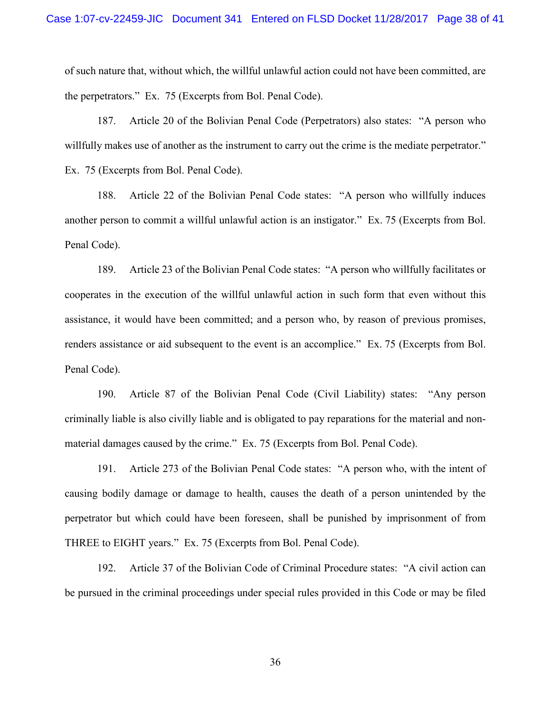of such nature that, without which, the willful unlawful action could not have been committed, are the perpetrators." Ex. 75 (Excerpts from Bol. Penal Code).

187. Article 20 of the Bolivian Penal Code (Perpetrators) also states: "A person who willfully makes use of another as the instrument to carry out the crime is the mediate perpetrator." Ex. 75 (Excerpts from Bol. Penal Code).

188. Article 22 of the Bolivian Penal Code states: "A person who willfully induces another person to commit a willful unlawful action is an instigator." Ex. 75 (Excerpts from Bol. Penal Code).

189. Article 23 of the Bolivian Penal Code states: "A person who willfully facilitates or cooperates in the execution of the willful unlawful action in such form that even without this assistance, it would have been committed; and a person who, by reason of previous promises, renders assistance or aid subsequent to the event is an accomplice." Ex. 75 (Excerpts from Bol. Penal Code).

190. Article 87 of the Bolivian Penal Code (Civil Liability) states: "Any person criminally liable is also civilly liable and is obligated to pay reparations for the material and nonmaterial damages caused by the crime." Ex. 75 (Excerpts from Bol. Penal Code).

191. Article 273 of the Bolivian Penal Code states: "A person who, with the intent of causing bodily damage or damage to health, causes the death of a person unintended by the perpetrator but which could have been foreseen, shall be punished by imprisonment of from THREE to EIGHT years." Ex. 75 (Excerpts from Bol. Penal Code).

192. Article 37 of the Bolivian Code of Criminal Procedure states: "A civil action can be pursued in the criminal proceedings under special rules provided in this Code or may be filed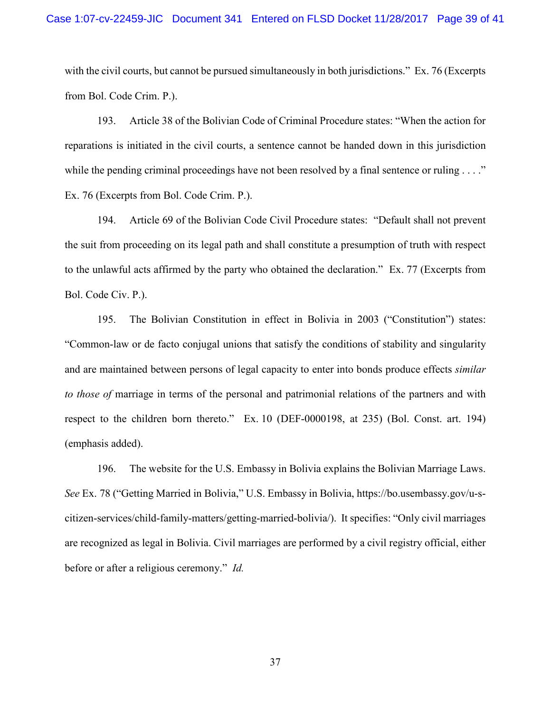with the civil courts, but cannot be pursued simultaneously in both jurisdictions." Ex. 76 (Excerpts from Bol. Code Crim. P.).

193. Article 38 of the Bolivian Code of Criminal Procedure states: "When the action for reparations is initiated in the civil courts, a sentence cannot be handed down in this jurisdiction while the pending criminal proceedings have not been resolved by a final sentence or ruling . . . ." Ex. 76 (Excerpts from Bol. Code Crim. P.).

194. Article 69 of the Bolivian Code Civil Procedure states: "Default shall not prevent the suit from proceeding on its legal path and shall constitute a presumption of truth with respect to the unlawful acts affirmed by the party who obtained the declaration." Ex. 77 (Excerpts from Bol. Code Civ. P.).

195. The Bolivian Constitution in effect in Bolivia in 2003 ("Constitution") states: "Common-law or de facto conjugal unions that satisfy the conditions of stability and singularity and are maintained between persons of legal capacity to enter into bonds produce effects *similar to those of marriage in terms of the personal and patrimonial relations of the partners and with* respect to the children born thereto." Ex. 10 (DEF-0000198, at 235) (Bol. Const. art. 194) (emphasis added).

196. The website for the U.S. Embassy in Bolivia explains the Bolivian Marriage Laws. *See* Ex. 78 ("Getting Married in Bolivia," U.S. Embassy in Bolivia, https://bo.usembassy.gov/u-scitizen-services/child-family-matters/getting-married-bolivia/). It specifies: "Only civil marriages are recognized as legal in Bolivia. Civil marriages are performed by a civil registry official, either before or after a religious ceremony." *Id.*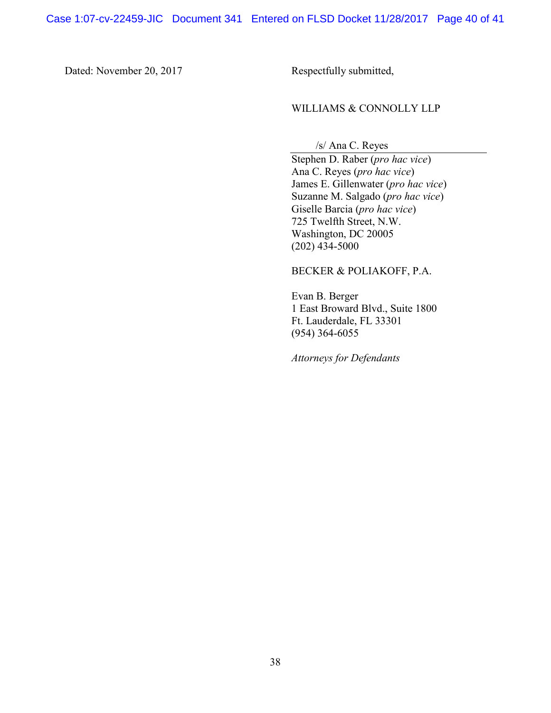Dated: November 20, 2017 Respectfully submitted,

## WILLIAMS & CONNOLLY LLP

/s/ Ana C. Reyes

Stephen D. Raber (*pro hac vice*) Ana C. Reyes (*pro hac vice*) James E. Gillenwater (*pro hac vice*) Suzanne M. Salgado (*pro hac vice*) Giselle Barcia (*pro hac vice*) 725 Twelfth Street, N.W. Washington, DC 20005 (202) 434-5000

#### BECKER & POLIAKOFF, P.A.

Evan B. Berger 1 East Broward Blvd., Suite 1800 Ft. Lauderdale, FL 33301 (954) 364-6055

*Attorneys for Defendants*